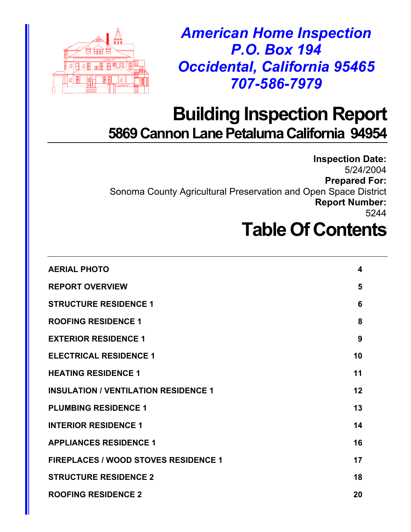

*American Home Inspection P.O. Box 194 Occidental, California 95465 707-586-7979* 

## **Building Inspection Report 5869 Cannon Lane Petaluma California 94954**

**Inspection Date:**  5/24/2004 **Prepared For:**  Sonoma County Agricultural Preservation and Open Space District **Report Number:**  5244

## **Table Of Contents**

| <b>AERIAL PHOTO</b>                         | 4  |
|---------------------------------------------|----|
| <b>REPORT OVERVIEW</b>                      | 5  |
| <b>STRUCTURE RESIDENCE 1</b>                | 6  |
| <b>ROOFING RESIDENCE 1</b>                  | 8  |
| <b>EXTERIOR RESIDENCE 1</b>                 | 9  |
| <b>ELECTRICAL RESIDENCE 1</b>               | 10 |
| <b>HEATING RESIDENCE 1</b>                  | 11 |
| <b>INSULATION / VENTILATION RESIDENCE 1</b> | 12 |
| <b>PLUMBING RESIDENCE 1</b>                 | 13 |
| <b>INTERIOR RESIDENCE 1</b>                 | 14 |
| <b>APPLIANCES RESIDENCE 1</b>               | 16 |
| <b>FIREPLACES / WOOD STOVES RESIDENCE 1</b> | 17 |
| <b>STRUCTURE RESIDENCE 2</b>                | 18 |
| <b>ROOFING RESIDENCE 2</b>                  | 20 |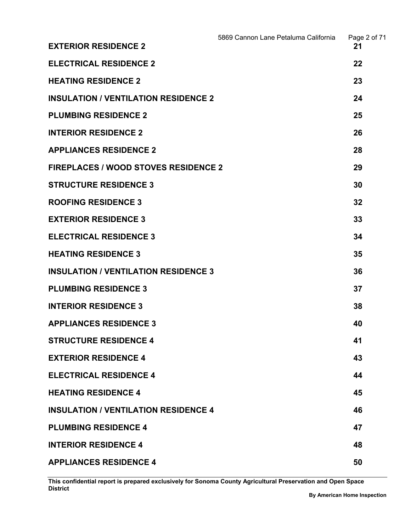|                                             | 5869 Cannon Lane Petaluma California | Page 2 of 71 |
|---------------------------------------------|--------------------------------------|--------------|
| <b>EXTERIOR RESIDENCE 2</b>                 |                                      | 21           |
| <b>ELECTRICAL RESIDENCE 2</b>               |                                      | 22           |
| <b>HEATING RESIDENCE 2</b>                  |                                      | 23           |
| <b>INSULATION / VENTILATION RESIDENCE 2</b> |                                      | 24           |
| <b>PLUMBING RESIDENCE 2</b>                 |                                      | 25           |
| <b>INTERIOR RESIDENCE 2</b>                 |                                      | 26           |
| <b>APPLIANCES RESIDENCE 2</b>               |                                      | 28           |
| <b>FIREPLACES / WOOD STOVES RESIDENCE 2</b> |                                      | 29           |
| <b>STRUCTURE RESIDENCE 3</b>                |                                      | 30           |
| <b>ROOFING RESIDENCE 3</b>                  |                                      | 32           |
| <b>EXTERIOR RESIDENCE 3</b>                 |                                      | 33           |
| <b>ELECTRICAL RESIDENCE 3</b>               |                                      | 34           |
| <b>HEATING RESIDENCE 3</b>                  |                                      | 35           |
| <b>INSULATION / VENTILATION RESIDENCE 3</b> |                                      | 36           |
| <b>PLUMBING RESIDENCE 3</b>                 |                                      | 37           |
| <b>INTERIOR RESIDENCE 3</b>                 |                                      | 38           |
| <b>APPLIANCES RESIDENCE 3</b>               |                                      | 40           |
| <b>STRUCTURE RESIDENCE 4</b>                |                                      | 41           |
| <b>EXTERIOR RESIDENCE 4</b>                 |                                      | 43           |
| <b>ELECTRICAL RESIDENCE 4</b>               |                                      | 44           |
| <b>HEATING RESIDENCE 4</b>                  |                                      | 45           |
| <b>INSULATION / VENTILATION RESIDENCE 4</b> |                                      | 46           |
| <b>PLUMBING RESIDENCE 4</b>                 |                                      | 47           |
| <b>INTERIOR RESIDENCE 4</b>                 |                                      | 48           |
| <b>APPLIANCES RESIDENCE 4</b>               |                                      | 50           |

**This confidential report is prepared exclusively for Sonoma County Agricultural Preservation and Open Space District**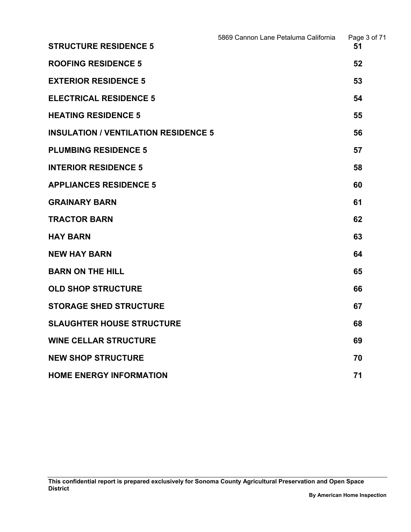|                                             | 5869 Cannon Lane Petaluma California | Page 3 of 71 |
|---------------------------------------------|--------------------------------------|--------------|
| <b>STRUCTURE RESIDENCE 5</b>                |                                      | 51           |
| <b>ROOFING RESIDENCE 5</b>                  |                                      | 52           |
| <b>EXTERIOR RESIDENCE 5</b>                 |                                      | 53           |
| <b>ELECTRICAL RESIDENCE 5</b>               |                                      | 54           |
| <b>HEATING RESIDENCE 5</b>                  |                                      | 55           |
| <b>INSULATION / VENTILATION RESIDENCE 5</b> |                                      | 56           |
| <b>PLUMBING RESIDENCE 5</b>                 |                                      | 57           |
| <b>INTERIOR RESIDENCE 5</b>                 |                                      | 58           |
| <b>APPLIANCES RESIDENCE 5</b>               |                                      | 60           |
| <b>GRAINARY BARN</b>                        |                                      | 61           |
| <b>TRACTOR BARN</b>                         |                                      | 62           |
| <b>HAY BARN</b>                             |                                      | 63           |
| <b>NEW HAY BARN</b>                         |                                      | 64           |
| <b>BARN ON THE HILL</b>                     |                                      | 65           |
| <b>OLD SHOP STRUCTURE</b>                   |                                      | 66           |
| <b>STORAGE SHED STRUCTURE</b>               |                                      | 67           |
| <b>SLAUGHTER HOUSE STRUCTURE</b>            |                                      | 68           |
| <b>WINE CELLAR STRUCTURE</b>                |                                      | 69           |
| <b>NEW SHOP STRUCTURE</b>                   |                                      | 70           |
| <b>HOME ENERGY INFORMATION</b>              |                                      | 71           |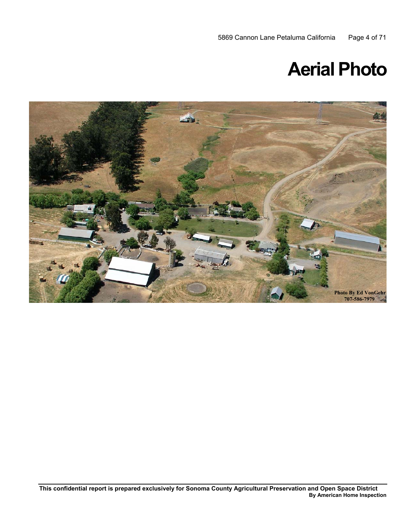## **Aerial Photo**

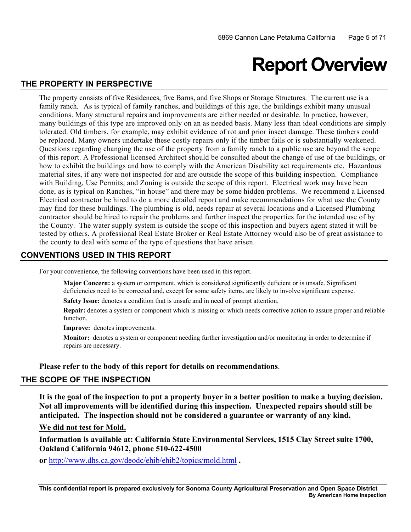## **Report Overview**

### **THE PROPERTY IN PERSPECTIVE**

 family ranch. As is typical of family ranches, and buildings of this age, the buildings exhibit many unusual with Building, Use Permits, and Zoning is outside the scope of this report. Electrical work may have been The property consists of five Residences, five Barns, and five Shops or Storage Structures. The current use is a conditions. Many structural repairs and improvements are either needed or desirable. In practice, however, many buildings of this type are improved only on an as needed basis. Many less than ideal conditions are simply tolerated. Old timbers, for example, may exhibit evidence of rot and prior insect damage. These timbers could be replaced. Many owners undertake these costly repairs only if the timber fails or is substantially weakened. Questions regarding changing the use of the property from a family ranch to a public use are beyond the scope of this report. A Professional licensed Architect should be consulted about the change of use of the buildings, or how to exhibit the buildings and how to comply with the American Disability act requirements etc. Hazardous material sites, if any were not inspected for and are outside the scope of this building inspection. Compliance done, as is typical on Ranches, "in house" and there may be some hidden problems. We recommend a Licensed Electrical contractor be hired to do a more detailed report and make recommendations for what use the County may find for these buildings. The plumbing is old, needs repair at several locations and a Licensed Plumbing contractor should be hired to repair the problems and further inspect the properties for the intended use of by the County. The water supply system is outside the scope of this inspection and buyers agent stated it will be tested by others. A professional Real Estate Broker or Real Estate Attorney would also be of great assistance to the county to deal with some of the type of questions that have arisen.

## **CONVENTIONS USED IN THIS REPORT**

For your convenience, the following conventions have been used in this report.

 **Major Concern:** a system or component, which is considered significantly deficient or is unsafe. Significant deficiencies need to be corrected and, except for some safety items, are likely to involve significant expense.

**Safety Issue:** denotes a condition that is unsafe and in need of prompt attention.

**Repair:** denotes a system or component which is missing or which needs corrective action to assure proper and reliable function.

**Improve:** denotes improvements.

 **Monitor:** denotes a system or component needing further investigation and/or monitoring in order to determine if repairs are necessary.

**Please refer to the body of this report for details on recommendations**.

## **THE SCOPE OF THE INSPECTION**

**It is the goal of the inspection to put a property buyer in a better position to make a buying decision. Not all improvements will be identified during this inspection. Unexpected repairs should still be anticipated. The inspection should not be considered a guarantee or warranty of any kind.** 

## **We did not test for Mold.**

**Information is available at: California State Environmental Services, 1515 Clay Street suite 1700, Oakland California 94612, phone 510-622-4500** 

**or** http://www.dhs.ca.gov/deodc/ehib/ehib2/topics/mold.html **.**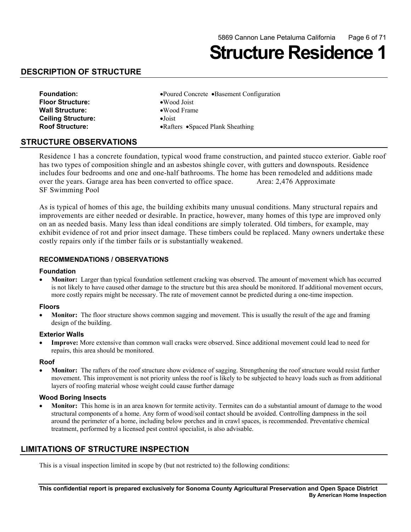## **Structure Residence 1**

## **DESCRIPTION OF STRUCTURE**

| <b>Foundation:</b>      | •Poured Concrete •Basement Configuration |
|-------------------------|------------------------------------------|
| <b>Floor Structure:</b> | $\bullet$ Wood Joist                     |
| Wall Structure:         | •Wood Frame                              |
| Ceiling Structure:      | $\bullet$ Joist                          |
| <b>Roof Structure:</b>  | • Rafters • Spaced Plank Sheathing       |
|                         |                                          |

#### **STRUCTURE OBSERVATIONS**

Residence 1 has a concrete foundation, typical wood frame construction, and painted stucco exterior. Gable roof has two types of composition shingle and an asbestos shingle cover, with gutters and downspouts. Residence includes four bedrooms and one and one-half bathrooms. The home has been remodeled and additions made over the years. Garage area has been converted to office space. Area: 2,476 Approximate SF Swimming Pool

As is typical of homes of this age, the building exhibits many unusual conditions. Many structural repairs and improvements are either needed or desirable. In practice, however, many homes of this type are improved only on an as needed basis. Many less than ideal conditions are simply tolerated. Old timbers, for example, may exhibit evidence of rot and prior insect damage. These timbers could be replaced. Many owners undertake these costly repairs only if the timber fails or is substantially weakened.

#### **RECOMMENDATIONS / OBSERVATIONS**

#### **Foundation**

• **Monitor:** Larger than typical foundation settlement cracking was observed. The amount of movement which has occurred is not likely to have caused other damage to the structure but this area should be monitored. If additional movement occurs, more costly repairs might be necessary. The rate of movement cannot be predicted during a one-time inspection.

#### **Floors**

**Monitor:** The floor structure shows common sagging and movement. This is usually the result of the age and framing design of the building.

#### **Exterior Walls**

**Improve:** More extensive than common wall cracks were observed. Since additional movement could lead to need for repairs, this area should be monitored.

#### **Roof**

**Monitor:** The rafters of the roof structure show evidence of sagging. Strengthening the roof structure would resist further movement. This improvement is not priority unless the roof is likely to be subjected to heavy loads such as from additional layers of roofing material whose weight could cause further damage

#### **Wood Boring Insects**

**Monitor:** This home is in an area known for termite activity. Termites can do a substantial amount of damage to the wood structural components of a home. Any form of wood/soil contact should be avoided. Controlling dampness in the soil around the perimeter of a home, including below porches and in crawl spaces, is recommended. Preventative chemical treatment, performed by a licensed pest control specialist, is also advisable.

## **LIMITATIONS OF STRUCTURE INSPECTION**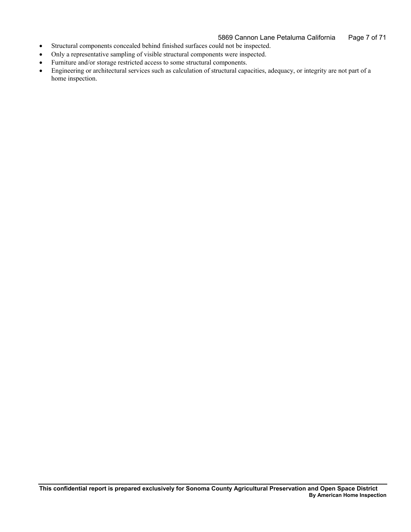- • Structural components concealed behind finished surfaces could not be inspected.
- • Only a representative sampling of visible structural components were inspected.
- • Furniture and/or storage restricted access to some structural components.
- • Engineering or architectural services such as calculation of structural capacities, adequacy, or integrity are not part of a home inspection.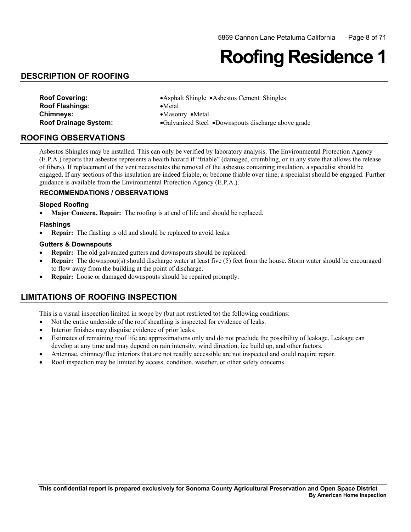## **Roofing Residence 1**

## **DESCRIPTION OF ROOFING**

| <b>Roof Covering:</b>        | • Asphalt Shingle • Asbestos Cement Shingles        |
|------------------------------|-----------------------------------------------------|
| <b>Roof Flashings:</b>       | $\bullet$ Metal                                     |
| <b>Chimneys:</b>             | $\bullet$ Masonry $\bullet$ Metal                   |
| <b>Roof Drainage System:</b> | •Galvanized Steel •Downspouts discharge above grade |

#### **ROOFING OBSERVATIONS**

Asbestos Shingles may be installed. This can only be verified by laboratory analysis. The Environmental Protection Agency (E.P.A.) reports that asbestos represents a health hazard if "friable" (damaged, crumbling, or in any state that allows the release of fibers). If replacement of the vent necessitates the removal of the asbestos containing insulation, a specialist should be engaged. If any sections of this insulation are indeed friable, or become friable over time, a specialist should be engaged. Further guidance is available from the Environmental Protection Agency (E.P.A.).

#### **RECOMMENDATIONS / OBSERVATIONS**

#### **Sloped Roofing**

**Major Concern, Repair:** The roofing is at end of life and should be replaced.

#### **Flashings**

• **Repair:** The flashing is old and should be replaced to avoid leaks.

#### **Gutters & Downspouts**

- **Repair:** The old galvanized gutters and downspouts should be replaced.
- **Repair:** The downspout(s) should discharge water at least five (5) feet from the house. Storm water should be encouraged to flow away from the building at the point of discharge.
- • **Repair:** Loose or damaged downspouts should be repaired promptly.

## **LIMITATIONS OF ROOFING INSPECTION**

- Not the entire underside of the roof sheathing is inspected for evidence of leaks.
- Interior finishes may disguise evidence of prior leaks.
- • Estimates of remaining roof life are approximations only and do not preclude the possibility of leakage. Leakage can develop at any time and may depend on rain intensity, wind direction, ice build up, and other factors.
- Antennae, chimney/flue interiors that are not readily accessible are not inspected and could require repair.
- Roof inspection may be limited by access, condition, weather, or other safety concerns.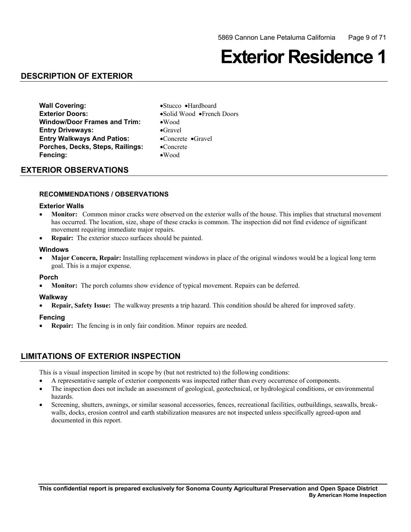## **Exterior Residence 1**

## **DESCRIPTION OF EXTERIOR**

**Wall Covering:** •Stucco •Hardboard **Exterior Doors:** •Solid Wood •French Doors **Window/Door Frames and Trim:** •Wood **Entry Driveways:** •Gravel **Entry Walkways And Patios:** •Concrete •Gravel **Porches, Decks, Steps, Railings:** •Concrete **Fencing:** •Wood

### **EXTERIOR OBSERVATIONS**

#### **RECOMMENDATIONS / OBSERVATIONS**

#### **Exterior Walls**

- **Monitor:** Common minor cracks were observed on the exterior walls of the house. This implies that structural movement has occurred. The location, size, shape of these cracks is common. The inspection did not find evidence of significant movement requiring immediate major repairs.
- **Repair:** The exterior stucco surfaces should be painted.

#### **Windows**

**Major Concern, Repair:** Installing replacement windows in place of the original windows would be a logical long term goal. This is a major expense.

#### **Porch**

**Monitor:** The porch columns show evidence of typical movement. Repairs can be deferred.

#### **Walkway**

**Repair, Safety Issue:** The walkway presents a trip hazard. This condition should be altered for improved safety.

#### **Fencing**

**Repair:** The fencing is in only fair condition. Minor repairs are needed.

### **LIMITATIONS OF EXTERIOR INSPECTION**

- • A representative sample of exterior components was inspected rather than every occurrence of components.
- The inspection does not include an assessment of geological, geotechnical, or hydrological conditions, or environmental hazards.
- Screening, shutters, awnings, or similar seasonal accessories, fences, recreational facilities, outbuildings, seawalls, breakwalls, docks, erosion control and earth stabilization measures are not inspected unless specifically agreed-upon and documented in this report.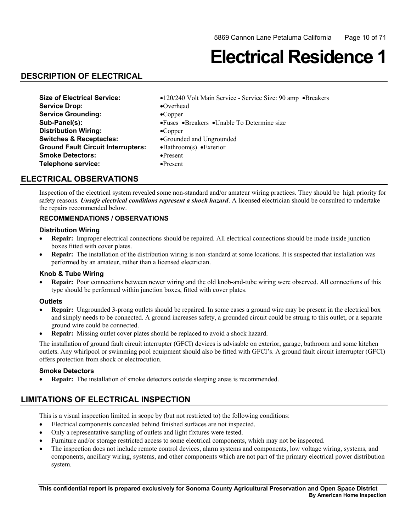## **Electrical Residence 1**

## **DESCRIPTION OF ELECTRICAL**

| <b>Size of Electrical Service:</b>        | •120/240 Volt Main Service - Service Size: 90 amp •Breakers |
|-------------------------------------------|-------------------------------------------------------------|
| <b>Service Drop:</b>                      | $\bullet$ Overhead                                          |
| <b>Service Grounding:</b>                 | $\bullet$ Copper                                            |
| Sub-Panel(s):                             | • Fuses • Breakers • Unable To Determine size               |
| <b>Distribution Wiring:</b>               | $\bullet$ Copper                                            |
| <b>Switches &amp; Receptacles:</b>        | •Grounded and Ungrounded                                    |
| <b>Ground Fault Circuit Interrupters:</b> | $\bullet$ Bathroom(s) $\bullet$ Exterior                    |
| <b>Smoke Detectors:</b>                   | $\bullet$ Present                                           |
| Telephone service:                        | $\bullet$ Present                                           |

## **ELECTRICAL OBSERVATIONS**

Inspection of the electrical system revealed some non-standard and/or amateur wiring practices. They should be high priority for safety reasons. *Unsafe electrical conditions represent a shock hazard*. A licensed electrician should be consulted to undertake the repairs recommended below.

### **RECOMMENDATIONS / OBSERVATIONS**

#### **Distribution Wiring**

- • **Repair:** Improper electrical connections should be repaired. All electrical connections should be made inside junction boxes fitted with cover plates.
- **Repair:** The installation of the distribution wiring is non-standard at some locations. It is suspected that installation was performed by an amateur, rather than a licensed electrician.

#### **Knob & Tube Wiring**

 • **Repair:** Poor connections between newer wiring and the old knob-and-tube wiring were observed. All connections of this type should be performed within junction boxes, fitted with cover plates.

#### **Outlets**

- **Repair:** Ungrounded 3-prong outlets should be repaired. In some cases a ground wire may be present in the electrical box and simply needs to be connected. A ground increases safety, a grounded circuit could be strung to this outlet, or a separate ground wire could be connected.
- **Repair:** Missing outlet cover plates should be replaced to avoid a shock hazard.

 The installation of ground fault circuit interrupter (GFCI) devices is advisable on exterior, garage, bathroom and some kitchen outlets. Any whirlpool or swimming pool equipment should also be fitted with GFCI's. A ground fault circuit interrupter (GFCI) offers protection from shock or electrocution.

#### **Smoke Detectors**

• **Repair:** The installation of smoke detectors outside sleeping areas is recommended.

## **LIMITATIONS OF ELECTRICAL INSPECTION**

- • Electrical components concealed behind finished surfaces are not inspected.
- Only a representative sampling of outlets and light fixtures were tested.
- Furniture and/or storage restricted access to some electrical components, which may not be inspected.
- The inspection does not include remote control devices, alarm systems and components, low voltage wiring, systems, and components, ancillary wiring, systems, and other components which are not part of the primary electrical power distribution system.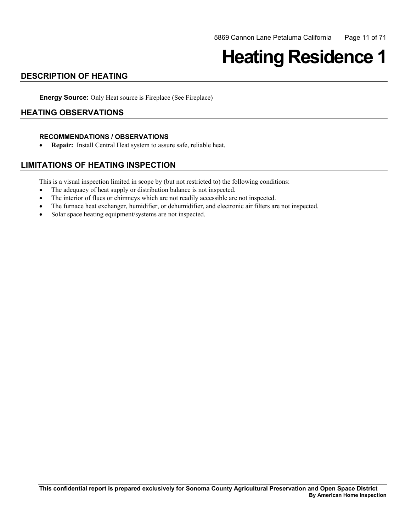# **Heating Residence 1**

## **DESCRIPTION OF HEATING**

**Energy Source:** Only Heat source is Fireplace (See Fireplace)

## **HEATING OBSERVATIONS**

#### **RECOMMENDATIONS / OBSERVATIONS**

• **Repair:** Install Central Heat system to assure safe, reliable heat.

## **LIMITATIONS OF HEATING INSPECTION**

- The adequacy of heat supply or distribution balance is not inspected.
- The interior of flues or chimneys which are not readily accessible are not inspected.
- The furnace heat exchanger, humidifier, or dehumidifier, and electronic air filters are not inspected.
- Solar space heating equipment/systems are not inspected.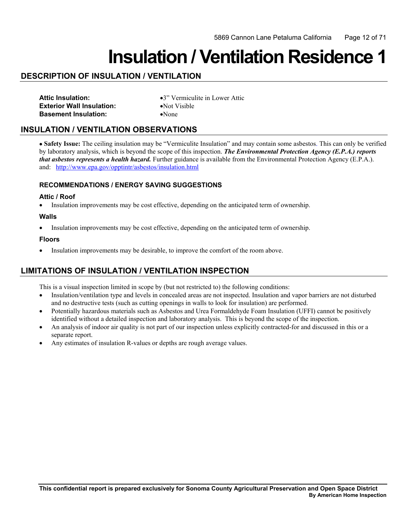## **Insulation / Ventilation Residence 1**

## **DESCRIPTION OF INSULATION / VENTILATION**

| <b>Attic Insulation:</b>         |
|----------------------------------|
| <b>Exterior Wall Insulation:</b> |
| <b>Basement Insulation:</b>      |

**Attic Insulation:** •3" Vermiculite in Lower Attic **•Not Visible** •None

## **INSULATION / VENTILATION OBSERVATIONS**

and: http://www.epa.gov/opptintr/asbestos/insulation.html • **Safety Issue:** The ceiling insulation may be "Vermiculite Insulation" and may contain some asbestos. This can only be verified by laboratory analysis, which is beyond the scope of this inspection. *The Environmental Protection Agency (E.P.A.) reports that asbestos represents a health hazard.* Further guidance is available from the Environmental Protection Agency (E.P.A.).

#### **RECOMMENDATIONS / ENERGY SAVING SUGGESTIONS**

#### **Attic / Roof**

• Insulation improvements may be cost effective, depending on the anticipated term of ownership.

#### **Walls**

• Insulation improvements may be cost effective, depending on the anticipated term of ownership.

#### **Floors**

• Insulation improvements may be desirable, to improve the comfort of the room above.

## **LIMITATIONS OF INSULATION / VENTILATION INSPECTION**

- Insulation/ventilation type and levels in concealed areas are not inspected. Insulation and vapor barriers are not disturbed and no destructive tests (such as cutting openings in walls to look for insulation) are performed.
- Potentially hazardous materials such as Asbestos and Urea Formaldehyde Foam Insulation (UFFI) cannot be positively identified without a detailed inspection and laboratory analysis. This is beyond the scope of the inspection.
- An analysis of indoor air quality is not part of our inspection unless explicitly contracted-for and discussed in this or a separate report.
- Any estimates of insulation R-values or depths are rough average values.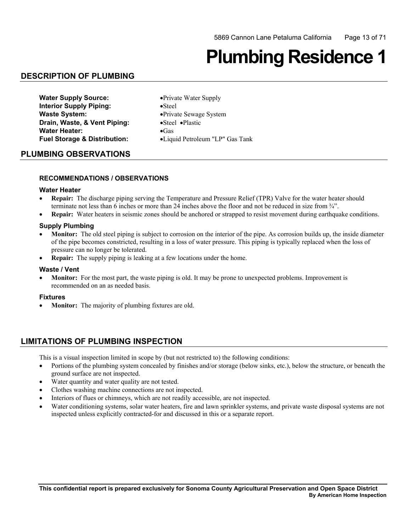# **Plumbing Residence 1**

## **DESCRIPTION OF PLUMBING**

| <b>Water Supply Source:</b>             | • Private Water Supply          |
|-----------------------------------------|---------------------------------|
| <b>Interior Supply Piping:</b>          | $\bullet$ Steel                 |
| <b>Waste System:</b>                    | • Private Sewage System         |
| Drain, Waste, & Vent Piping:            | •Steel •Plastic                 |
| <b>Water Heater:</b>                    | $\bullet$ Gas                   |
| <b>Fuel Storage &amp; Distribution:</b> | •Liquid Petroleum "LP" Gas Tank |

#### **PLUMBING OBSERVATIONS**

#### **RECOMMENDATIONS / OBSERVATIONS**

#### **Water Heater**

- **Repair:** The discharge piping serving the Temperature and Pressure Relief (TPR) Valve for the water heater should terminate not less than 6 inches or more than 24 inches above the floor and not be reduced in size from ¾".
- **Repair:** Water heaters in seismic zones should be anchored or strapped to resist movement during earthquake conditions.

#### **Supply Plumbing**

- **Monitor:** The old steel piping is subject to corrosion on the interior of the pipe. As corrosion builds up, the inside diameter of the pipe becomes constricted, resulting in a loss of water pressure. This piping is typically replaced when the loss of pressure can no longer be tolerated.
- **Repair:** The supply piping is leaking at a few locations under the home.

#### **Waste / Vent**

• **Monitor:** For the most part, the waste piping is old. It may be prone to unexpected problems. Improvement is recommended on an as needed basis.

#### **Fixtures**

• **Monitor:** The majority of plumbing fixtures are old.

## **LIMITATIONS OF PLUMBING INSPECTION**

- Portions of the plumbing system concealed by finishes and/or storage (below sinks, etc.), below the structure, or beneath the ground surface are not inspected.
- Water quantity and water quality are not tested.
- Clothes washing machine connections are not inspected.
- Interiors of flues or chimneys, which are not readily accessible, are not inspected.
- Water conditioning systems, solar water heaters, fire and lawn sprinkler systems, and private waste disposal systems are not inspected unless explicitly contracted-for and discussed in this or a separate report.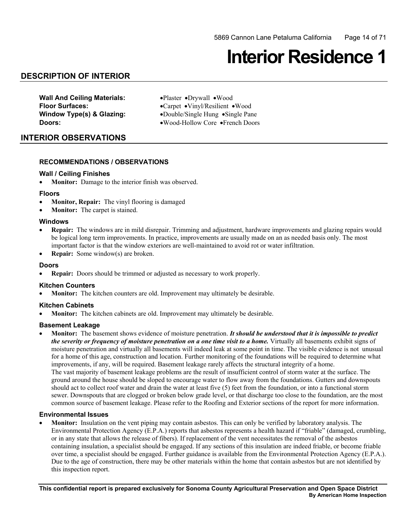## **Interior Residence 1**

## **DESCRIPTION OF INTERIOR**

**Wall And Ceiling Materials:** •Plaster •Drywall •Wood

 **Floor Surfaces:** •Carpet •Vinyl/Resilient •Wood **Window Type(s) & Glazing:** •Double/Single Hung •Single Pane **Doors:** •Wood-Hollow Core •French Doors

### **INTERIOR OBSERVATIONS**

#### **RECOMMENDATIONS / OBSERVATIONS**

#### **Wall / Ceiling Finishes**

• **Monitor:** Damage to the interior finish was observed.

#### **Floors**

- **Monitor, Repair:** The vinyl flooring is damaged
- **Monitor:** The carpet is stained.

#### **Windows**

- **Repair:** The windows are in mild disrepair. Trimming and adjustment, hardware improvements and glazing repairs would be logical long term improvements. In practice, improvements are usually made on an as needed basis only. The most important factor is that the window exteriors are well-maintained to avoid rot or water infiltration.
- • **Repair:** Some window(s) are broken.

#### **Doors**

• **Repair:** Doors should be trimmed or adjusted as necessary to work properly.

#### **Kitchen Counters**

**Monitor:** The kitchen counters are old. Improvement may ultimately be desirable.

#### **Kitchen Cabinets**

**Monitor:** The kitchen cabinets are old. Improvement may ultimately be desirable.

#### **Basement Leakage**

**Monitor:** The basement shows evidence of moisture penetration. *It should be understood that it is impossible to predict the severity or frequency of moisture penetration on a one time visit to a home.* Virtually all basements exhibit signs of moisture penetration and virtually all basements will indeed leak at some point in time. The visible evidence is not unusual for a home of this age, construction and location. Further monitoring of the foundations will be required to determine what improvements, if any, will be required. Basement leakage rarely affects the structural integrity of a home. The vast majority of basement leakage problems are the result of insufficient control of storm water at the surface. The ground around the house should be sloped to encourage water to flow away from the foundations. Gutters and downspouts should act to collect roof water and drain the water at least five (5) feet from the foundation, or into a functional storm sewer. Downspouts that are clogged or broken below grade level, or that discharge too close to the foundation, are the most common source of basement leakage. Please refer to the Roofing and Exterior sections of the report for more information.

#### **Environmental Issues**

 containing insulation, a specialist should be engaged. If any sections of this insulation are indeed friable, or become friable Monitor: Insulation on the vent piping may contain asbestos. This can only be verified by laboratory analysis. The Environmental Protection Agency (E.P.A.) reports that asbestos represents a health hazard if "friable" (damaged, crumbling, or in any state that allows the release of fibers). If replacement of the vent necessitates the removal of the asbestos over time, a specialist should be engaged. Further guidance is available from the Environmental Protection Agency (E.P.A.). Due to the age of construction, there may be other materials within the home that contain asbestos but are not identified by this inspection report.

**This confidential report is prepared exclusively for Sonoma County Agricultural Preservation and Open Space District By American Home Inspection**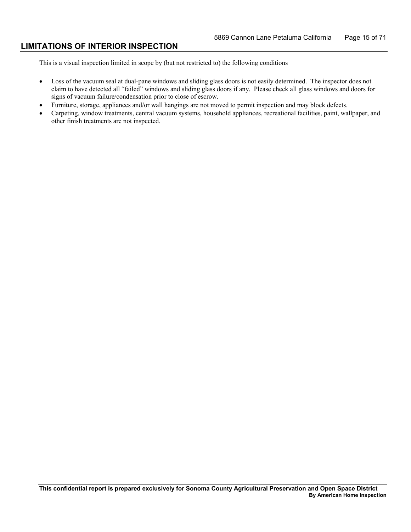### **LIMITATIONS OF INTERIOR INSPECTION**

- Loss of the vacuum seal at dual-pane windows and sliding glass doors is not easily determined. The inspector does not claim to have detected all "failed" windows and sliding glass doors if any. Please check all glass windows and doors for signs of vacuum failure/condensation prior to close of escrow.
- • Furniture, storage, appliances and/or wall hangings are not moved to permit inspection and may block defects.
- Carpeting, window treatments, central vacuum systems, household appliances, recreational facilities, paint, wallpaper, and other finish treatments are not inspected.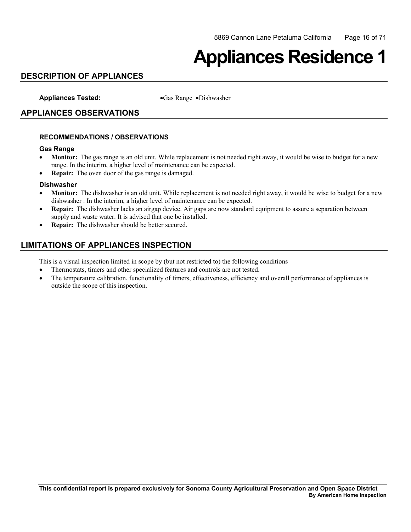## **Appliances Residence 1**

## **DESCRIPTION OF APPLIANCES**

**Appliances Tested:** •Gas Range •Dishwasher

## **APPLIANCES OBSERVATIONS**

#### **RECOMMENDATIONS / OBSERVATIONS**

#### **Gas Range**

- **Monitor:** The gas range is an old unit. While replacement is not needed right away, it would be wise to budget for a new range. In the interim, a higher level of maintenance can be expected.
- • **Repair:** The oven door of the gas range is damaged.

#### **Dishwasher**

- **Monitor:** The dishwasher is an old unit. While replacement is not needed right away, it would be wise to budget for a new dishwasher . In the interim, a higher level of maintenance can be expected.
- **Repair:** The dishwasher lacks an airgap device. Air gaps are now standard equipment to assure a separation between supply and waste water. It is advised that one be installed.
- **Repair:** The dishwasher should be better secured.

## **LIMITATIONS OF APPLIANCES INSPECTION**

- • Thermostats, timers and other specialized features and controls are not tested.
- The temperature calibration, functionality of timers, effectiveness, efficiency and overall performance of appliances is outside the scope of this inspection.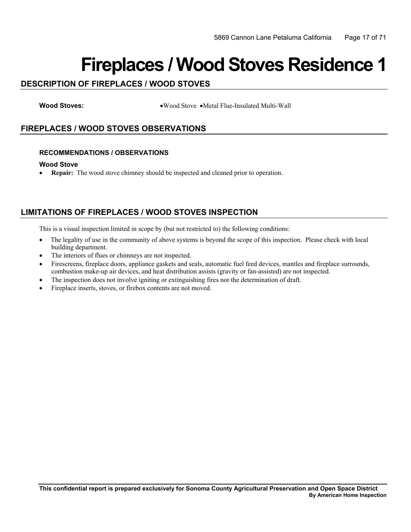## **Fireplaces / Wood Stoves Residence 1**

## **DESCRIPTION OF FIREPLACES / WOOD STOVES**

**Wood Stoves:** •Wood Stove •Metal Flue-Insulated Multi-Wall

## **FIREPLACES / WOOD STOVES OBSERVATIONS**

#### **RECOMMENDATIONS / OBSERVATIONS**

#### **Wood Stove**

• **Repair:** The wood stove chimney should be inspected and cleaned prior to operation.

## **LIMITATIONS OF FIREPLACES / WOOD STOVES INSPECTION**

- $\bullet$ • The legality of use in the community of above systems is beyond the scope of this inspection. Please check with local building department.
- The interiors of flues or chimneys are not inspected.
- Firescreens, fireplace doors, appliance gaskets and seals, automatic fuel feed devices, mantles and fireplace surrounds, combustion make-up air devices, and heat distribution assists (gravity or fan-assisted) are not inspected.
- The inspection does not involve igniting or extinguishing fires nor the determination of draft.
- • Fireplace inserts, stoves, or firebox contents are not moved.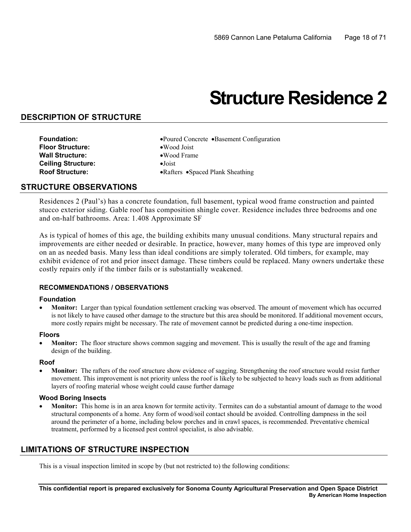## **Structure Residence 2**

## **DESCRIPTION OF STRUCTURE**

 **Foundation:** •Poured Concrete •Basement Configuration **Floor Structure:** •Wood Joist **Wall Structure:** •Wood Frame **Ceiling Structure:** •Joist **Roof Structure:** •Rafters •Spaced Plank Sheathing

### **STRUCTURE OBSERVATIONS**

Residences 2 (Paul's) has a concrete foundation, full basement, typical wood frame construction and painted stucco exterior siding. Gable roof has composition shingle cover. Residence includes three bedrooms and one and on-half bathrooms. Area: 1.408 Approximate SF

As is typical of homes of this age, the building exhibits many unusual conditions. Many structural repairs and improvements are either needed or desirable. In practice, however, many homes of this type are improved only on an as needed basis. Many less than ideal conditions are simply tolerated. Old timbers, for example, may exhibit evidence of rot and prior insect damage. These timbers could be replaced. Many owners undertake these costly repairs only if the timber fails or is substantially weakened.

#### **RECOMMENDATIONS / OBSERVATIONS**

#### **Foundation**

**Monitor:** Larger than typical foundation settlement cracking was observed. The amount of movement which has occurred is not likely to have caused other damage to the structure but this area should be monitored. If additional movement occurs, more costly repairs might be necessary. The rate of movement cannot be predicted during a one-time inspection.

#### **Floors**

**Monitor:** The floor structure shows common sagging and movement. This is usually the result of the age and framing design of the building.

#### **Roof**

**Monitor:** The rafters of the roof structure show evidence of sagging. Strengthening the roof structure would resist further movement. This improvement is not priority unless the roof is likely to be subjected to heavy loads such as from additional layers of roofing material whose weight could cause further damage

#### **Wood Boring Insects**

**Monitor:** This home is in an area known for termite activity. Termites can do a substantial amount of damage to the wood structural components of a home. Any form of wood/soil contact should be avoided. Controlling dampness in the soil around the perimeter of a home, including below porches and in crawl spaces, is recommended. Preventative chemical treatment, performed by a licensed pest control specialist, is also advisable.

## **LIMITATIONS OF STRUCTURE INSPECTION**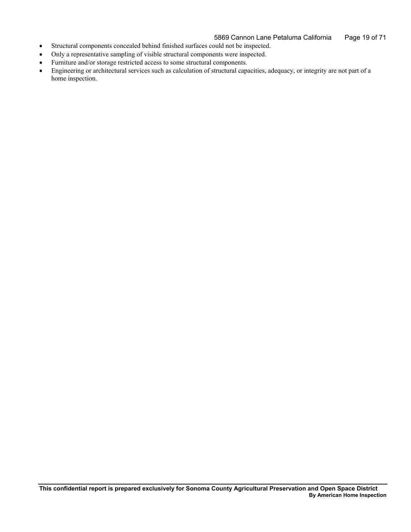- • Structural components concealed behind finished surfaces could not be inspected.
- Only a representative sampling of visible structural components were inspected.
- • Furniture and/or storage restricted access to some structural components.
- • Engineering or architectural services such as calculation of structural capacities, adequacy, or integrity are not part of a home inspection.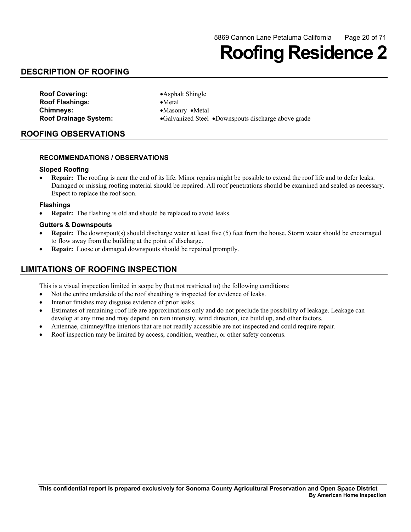## **Roofing Residence 2**

## **DESCRIPTION OF ROOFING**

**Roof Covering:** •Asphalt Shingle **Roof Flashings:** •Metal **Chimneys:** •Masonry •Metal

**Roof Drainage System:** • Galvanized Steel • Downspouts discharge above grade

## **ROOFING OBSERVATIONS**

#### **RECOMMENDATIONS / OBSERVATIONS**

#### **Sloped Roofing**

• **Repair:** The roofing is near the end of its life. Minor repairs might be possible to extend the roof life and to defer leaks. Damaged or missing roofing material should be repaired. All roof penetrations should be examined and sealed as necessary. Expect to replace the roof soon.

#### **Flashings**

**Repair:** The flashing is old and should be replaced to avoid leaks.

#### **Gutters & Downspouts**

- **Repair:** The downspout(s) should discharge water at least five (5) feet from the house. Storm water should be encouraged to flow away from the building at the point of discharge.
- • **Repair:** Loose or damaged downspouts should be repaired promptly.

## **LIMITATIONS OF ROOFING INSPECTION**

- Not the entire underside of the roof sheathing is inspected for evidence of leaks.
- Interior finishes may disguise evidence of prior leaks.
- • Estimates of remaining roof life are approximations only and do not preclude the possibility of leakage. Leakage can develop at any time and may depend on rain intensity, wind direction, ice build up, and other factors.
- Antennae, chimney/flue interiors that are not readily accessible are not inspected and could require repair.
- Roof inspection may be limited by access, condition, weather, or other safety concerns.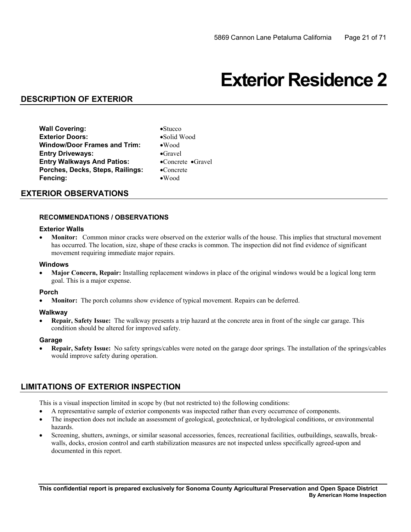## **Exterior Residence 2**

## **DESCRIPTION OF EXTERIOR**

**Wall Covering:** •Stucco **Exterior Doors:** •Solid Wood **Window/Door Frames and Trim:** •Wood **Entry Driveways:** •Gravel **Entry Walkways And Patios:** •Concrete •Gravel **Porches, Decks, Steps, Railings:** •Concrete **Fencing:** •Wood

- 
- 
- **EXTERIOR OBSERVATIONS**

#### **RECOMMENDATIONS / OBSERVATIONS**

#### **Exterior Walls**

**Monitor:** Common minor cracks were observed on the exterior walls of the house. This implies that structural movement has occurred. The location, size, shape of these cracks is common. The inspection did not find evidence of significant movement requiring immediate major repairs.

#### **Windows**

**Major Concern, Repair:** Installing replacement windows in place of the original windows would be a logical long term goal. This is a major expense.

#### **Porch**

**Monitor:** The porch columns show evidence of typical movement. Repairs can be deferred.

#### **Walkway**

**Repair, Safety Issue:** The walkway presents a trip hazard at the concrete area in front of the single car garage. This condition should be altered for improved safety.

#### **Garage**

**Repair, Safety Issue:** No safety springs/cables were noted on the garage door springs. The installation of the springs/cables would improve safety during operation.

### **LIMITATIONS OF EXTERIOR INSPECTION**

- A representative sample of exterior components was inspected rather than every occurrence of components.
- The inspection does not include an assessment of geological, geotechnical, or hydrological conditions, or environmental hazards.
- walls, docks, erosion control and earth stabilization measures are not inspected unless specifically agreed-upon and Screening, shutters, awnings, or similar seasonal accessories, fences, recreational facilities, outbuildings, seawalls, breakdocumented in this report.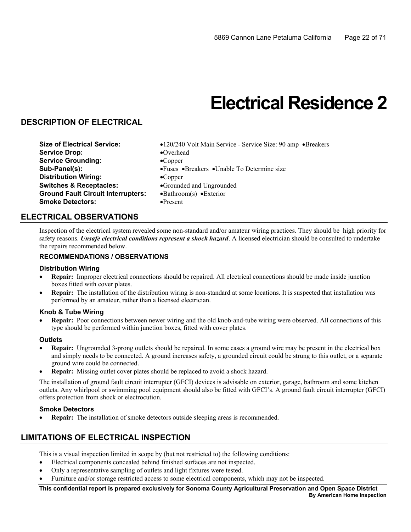## **Electrical Residence 2**

## **DESCRIPTION OF ELECTRICAL**

- **Service Drop:** •Overhead **Service Grounding:** •Copper **Distribution Wiring:** •Copper **Switches & Receptacles:** •Grounded and Ungrounded **Ground Fault Circuit Interrupters:** •Bathroom(s) •Exterior **Smoke Detectors:** •Present
- **Size of Electrical Service:** •120/240 Volt Main Service Service Size: 90 amp •Breakers
	-
- **Sub-Panel(s):** •Fuses •Breakers •Unable To Determine size
	-
	-
	-
	-

### **ELECTRICAL OBSERVATIONS**

Inspection of the electrical system revealed some non-standard and/or amateur wiring practices. They should be high priority for safety reasons. *Unsafe electrical conditions represent a shock hazard*. A licensed electrician should be consulted to undertake the repairs recommended below.

#### **RECOMMENDATIONS / OBSERVATIONS**

#### **Distribution Wiring**

- **Repair:** Improper electrical connections should be repaired. All electrical connections should be made inside junction boxes fitted with cover plates.
- **Repair:** The installation of the distribution wiring is non-standard at some locations. It is suspected that installation was performed by an amateur, rather than a licensed electrician.

#### **Knob & Tube Wiring**

 • **Repair:** Poor connections between newer wiring and the old knob-and-tube wiring were observed. All connections of this type should be performed within junction boxes, fitted with cover plates.

#### **Outlets**

- **Repair:** Ungrounded 3-prong outlets should be repaired. In some cases a ground wire may be present in the electrical box and simply needs to be connected. A ground increases safety, a grounded circuit could be strung to this outlet, or a separate ground wire could be connected.
- **Repair:** Missing outlet cover plates should be replaced to avoid a shock hazard.

 The installation of ground fault circuit interrupter (GFCI) devices is advisable on exterior, garage, bathroom and some kitchen outlets. Any whirlpool or swimming pool equipment should also be fitted with GFCI's. A ground fault circuit interrupter (GFCI) offers protection from shock or electrocution.

#### **Smoke Detectors**

**Repair:** The installation of smoke detectors outside sleeping areas is recommended.

## **LIMITATIONS OF ELECTRICAL INSPECTION**

This is a visual inspection limited in scope by (but not restricted to) the following conditions:

- • Electrical components concealed behind finished surfaces are not inspected.
- Only a representative sampling of outlets and light fixtures were tested.
- Furniture and/or storage restricted access to some electrical components, which may not be inspected.

**This confidential report is prepared exclusively for Sonoma County Agricultural Preservation and Open Space District By American Home Inspection**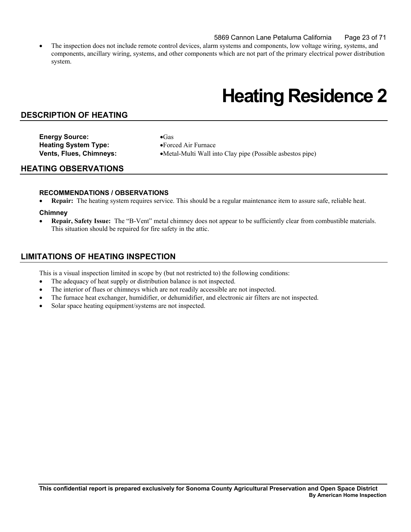#### 5869 Cannon Lane Petaluma California Page 23 of 71

The inspection does not include remote control devices, alarm systems and components, low voltage wiring, systems, and components, ancillary wiring, systems, and other components which are not part of the primary electrical power distribution system.

## **Heating Residence 2**

### **DESCRIPTION OF HEATING**

**Energy Source:** •Gas **Heating System Type:** •Forced Air Furnace

**Vents, Flues, Chimneys:** •Metal-Multi Wall into Clay pipe (Possible asbestos pipe)

#### **HEATING OBSERVATIONS**

#### **RECOMMENDATIONS / OBSERVATIONS**

**Repair:** The heating system requires service. This should be a regular maintenance item to assure safe, reliable heat.

#### **Chimney**

 This situation should be repaired for fire safety in the attic. • **Repair, Safety Issue:** The "B-Vent" metal chimney does not appear to be sufficiently clear from combustible materials.

## **LIMITATIONS OF HEATING INSPECTION**

- The adequacy of heat supply or distribution balance is not inspected.
- The interior of flues or chimneys which are not readily accessible are not inspected.
- The furnace heat exchanger, humidifier, or dehumidifier, and electronic air filters are not inspected.
- Solar space heating equipment/systems are not inspected.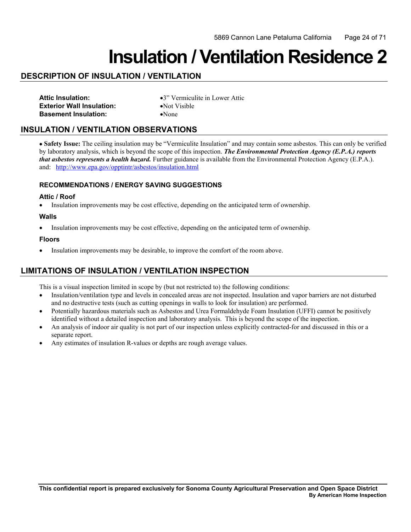## **Insulation / Ventilation Residence 2**

## **DESCRIPTION OF INSULATION / VENTILATION**

| <b>Attic Insulation:</b>         |  |
|----------------------------------|--|
| <b>Exterior Wall Insulation:</b> |  |
| <b>Basement Insulation:</b>      |  |

**Attic Insulation:** •3" Vermiculite in Lower Attic **•Not Visible** •None

## **INSULATION / VENTILATION OBSERVATIONS**

and: http://www.epa.gov/opptintr/asbestos/insulation.html • **Safety Issue:** The ceiling insulation may be "Vermiculite Insulation" and may contain some asbestos. This can only be verified by laboratory analysis, which is beyond the scope of this inspection. *The Environmental Protection Agency (E.P.A.) reports that asbestos represents a health hazard.* Further guidance is available from the Environmental Protection Agency (E.P.A.).

#### **RECOMMENDATIONS / ENERGY SAVING SUGGESTIONS**

#### **Attic / Roof**

• Insulation improvements may be cost effective, depending on the anticipated term of ownership.

#### **Walls**

• Insulation improvements may be cost effective, depending on the anticipated term of ownership.

#### **Floors**

• Insulation improvements may be desirable, to improve the comfort of the room above.

## **LIMITATIONS OF INSULATION / VENTILATION INSPECTION**

- and no destructive tests (such as cutting openings in walls to look for insulation) are performed. • Insulation/ventilation type and levels in concealed areas are not inspected. Insulation and vapor barriers are not disturbed
- Potentially hazardous materials such as Asbestos and Urea Formaldehyde Foam Insulation (UFFI) cannot be positively identified without a detailed inspection and laboratory analysis. This is beyond the scope of the inspection.
- An analysis of indoor air quality is not part of our inspection unless explicitly contracted-for and discussed in this or a separate report.
- Any estimates of insulation R-values or depths are rough average values.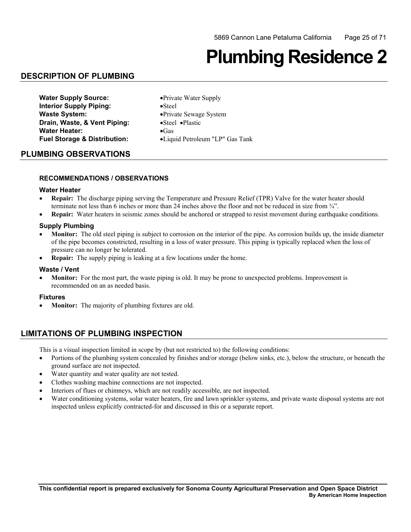# **Plumbing Residence 2**

## **DESCRIPTION OF PLUMBING**

| <b>Water Supply Source:</b>             | • Private Water Supply          |
|-----------------------------------------|---------------------------------|
| <b>Interior Supply Piping:</b>          | $\bullet$ Steel                 |
| <b>Waste System:</b>                    | • Private Sewage System         |
| Drain, Waste, & Vent Piping:            | •Steel •Plastic                 |
| <b>Water Heater:</b>                    | $\bullet$ Gas                   |
| <b>Fuel Storage &amp; Distribution:</b> | •Liquid Petroleum "LP" Gas Tank |

#### **PLUMBING OBSERVATIONS**

#### **RECOMMENDATIONS / OBSERVATIONS**

#### **Water Heater**

- **Repair:** The discharge piping serving the Temperature and Pressure Relief (TPR) Valve for the water heater should terminate not less than 6 inches or more than 24 inches above the floor and not be reduced in size from ¾".
- **Repair:** Water heaters in seismic zones should be anchored or strapped to resist movement during earthquake conditions.

#### **Supply Plumbing**

- **Monitor:** The old steel piping is subject to corrosion on the interior of the pipe. As corrosion builds up, the inside diameter of the pipe becomes constricted, resulting in a loss of water pressure. This piping is typically replaced when the loss of pressure can no longer be tolerated.
- **Repair:** The supply piping is leaking at a few locations under the home.

#### **Waste / Vent**

• **Monitor:** For the most part, the waste piping is old. It may be prone to unexpected problems. Improvement is recommended on an as needed basis.

#### **Fixtures**

• **Monitor:** The majority of plumbing fixtures are old.

### **LIMITATIONS OF PLUMBING INSPECTION**

- Portions of the plumbing system concealed by finishes and/or storage (below sinks, etc.), below the structure, or beneath the ground surface are not inspected.
- Water quantity and water quality are not tested.
- Clothes washing machine connections are not inspected.
- Interiors of flues or chimneys, which are not readily accessible, are not inspected.
- Water conditioning systems, solar water heaters, fire and lawn sprinkler systems, and private waste disposal systems are not inspected unless explicitly contracted-for and discussed in this or a separate report.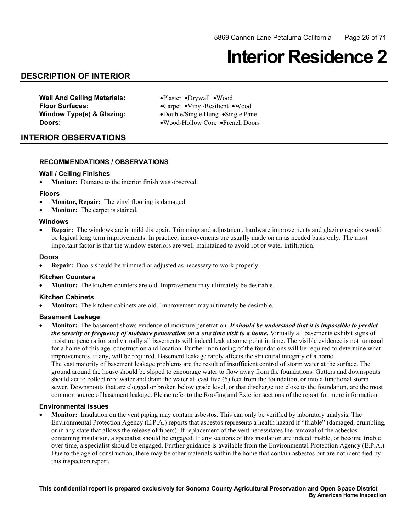## **Interior Residence 2**

## **DESCRIPTION OF INTERIOR**

**Wall And Ceiling Materials:** •Plaster •Drywall •Wood

 **Floor Surfaces:** •Carpet •Vinyl/Resilient •Wood **Window Type(s) & Glazing:** •Double/Single Hung •Single Pane **Doors:** •Wood-Hollow Core •French Doors

### **INTERIOR OBSERVATIONS**

#### **RECOMMENDATIONS / OBSERVATIONS**

#### **Wall / Ceiling Finishes**

• **Monitor:** Damage to the interior finish was observed.

#### **Floors**

- **Monitor, Repair:** The vinyl flooring is damaged
- **Monitor:** The carpet is stained.

#### **Windows**

**Repair:** The windows are in mild disrepair. Trimming and adjustment, hardware improvements and glazing repairs would be logical long term improvements. In practice, improvements are usually made on an as needed basis only. The most important factor is that the window exteriors are well-maintained to avoid rot or water infiltration.

#### **Doors**

• **Repair:** Doors should be trimmed or adjusted as necessary to work properly.

#### **Kitchen Counters**

**Monitor:** The kitchen counters are old. Improvement may ultimately be desirable.

#### **Kitchen Cabinets**

**Monitor:** The kitchen cabinets are old. Improvement may ultimately be desirable.

#### **Basement Leakage**

**Monitor:** The basement shows evidence of moisture penetration. *It should be understood that it is impossible to predict the severity or frequency of moisture penetration on a one time visit to a home.* Virtually all basements exhibit signs of moisture penetration and virtually all basements will indeed leak at some point in time. The visible evidence is not unusual for a home of this age, construction and location. Further monitoring of the foundations will be required to determine what improvements, if any, will be required. Basement leakage rarely affects the structural integrity of a home. The vast majority of basement leakage problems are the result of insufficient control of storm water at the surface. The ground around the house should be sloped to encourage water to flow away from the foundations. Gutters and downspouts should act to collect roof water and drain the water at least five (5) feet from the foundation, or into a functional storm sewer. Downspouts that are clogged or broken below grade level, or that discharge too close to the foundation, are the most common source of basement leakage. Please refer to the Roofing and Exterior sections of the report for more information.

#### **Environmental Issues**

 containing insulation, a specialist should be engaged. If any sections of this insulation are indeed friable, or become friable **Monitor:** Insulation on the vent piping may contain asbestos. This can only be verified by laboratory analysis. The Environmental Protection Agency (E.P.A.) reports that asbestos represents a health hazard if "friable" (damaged, crumbling, or in any state that allows the release of fibers). If replacement of the vent necessitates the removal of the asbestos over time, a specialist should be engaged. Further guidance is available from the Environmental Protection Agency (E.P.A.). Due to the age of construction, there may be other materials within the home that contain asbestos but are not identified by this inspection report.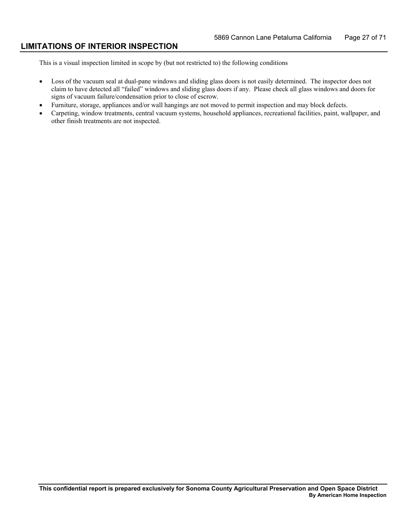### **LIMITATIONS OF INTERIOR INSPECTION**

- Loss of the vacuum seal at dual-pane windows and sliding glass doors is not easily determined. The inspector does not claim to have detected all "failed" windows and sliding glass doors if any. Please check all glass windows and doors for signs of vacuum failure/condensation prior to close of escrow.
- • Furniture, storage, appliances and/or wall hangings are not moved to permit inspection and may block defects.
- Carpeting, window treatments, central vacuum systems, household appliances, recreational facilities, paint, wallpaper, and other finish treatments are not inspected.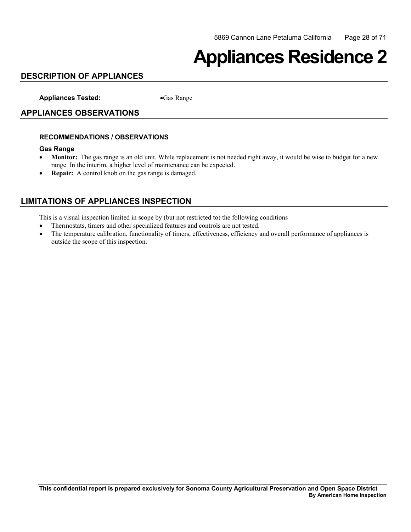## **Appliances Residence 2**

## **DESCRIPTION OF APPLIANCES**

**Appliances Tested:** •Gas Range

### **APPLIANCES OBSERVATIONS**

#### **RECOMMENDATIONS / OBSERVATIONS**

#### **Gas Range**

- **Monitor:** The gas range is an old unit. While replacement is not needed right away, it would be wise to budget for a new range. In the interim, a higher level of maintenance can be expected.
- • **Repair:** A control knob on the gas range is damaged.

## **LIMITATIONS OF APPLIANCES INSPECTION**

- Thermostats, timers and other specialized features and controls are not tested.
- The temperature calibration, functionality of timers, effectiveness, efficiency and overall performance of appliances is outside the scope of this inspection.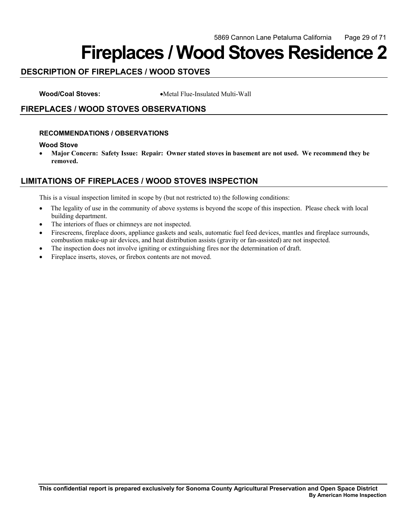## **Fireplaces / Wood Stoves Residence 2**

## **DESCRIPTION OF FIREPLACES / WOOD STOVES**

**Wood/Coal Stoves:** •Metal Flue-Insulated Multi-Wall

## **FIREPLACES / WOOD STOVES OBSERVATIONS**

#### **RECOMMENDATIONS / OBSERVATIONS**

#### **Wood Stove**

• **Major Concern: Safety Issue: Repair: Owner stated stoves in basement are not used. We recommend they be removed.** 

## **LIMITATIONS OF FIREPLACES / WOOD STOVES INSPECTION**

- $\bullet$ • The legality of use in the community of above systems is beyond the scope of this inspection. Please check with local building department.
- The interiors of flues or chimneys are not inspected.
- • Firescreens, fireplace doors, appliance gaskets and seals, automatic fuel feed devices, mantles and fireplace surrounds, combustion make-up air devices, and heat distribution assists (gravity or fan-assisted) are not inspected.
- The inspection does not involve igniting or extinguishing fires nor the determination of draft.
- Fireplace inserts, stoves, or firebox contents are not moved.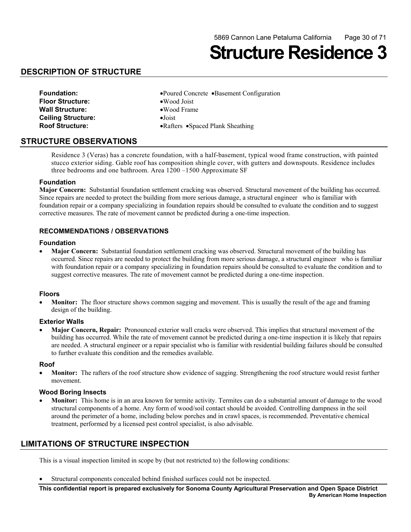**Structure Residence 3** 

## **DESCRIPTION OF STRUCTURE**

| <b>Foundation:</b>        | $\bullet$ Poure |
|---------------------------|-----------------|
| <b>Floor Structure:</b>   | $\bullet$ Woo   |
| <b>Wall Structure:</b>    | $\bullet$ Woo   |
| <b>Ceiling Structure:</b> | $\bullet$ Joist |
| <b>Roof Structure:</b>    | $\bullet$ Rafte |

- **Foundation:** •Poured Concrete •Basement Configuration
	- •Wood Joist
	- **Wall Structure:** •Wood Frame
	-
	- •Rafters •Spaced Plank Sheathing

### **STRUCTURE OBSERVATIONS**

Residence 3 (Veras) has a concrete foundation, with a half-basement, typical wood frame construction, with painted stucco exterior siding. Gable roof has composition shingle cover, with gutters and downspouts. Residence includes three bedrooms and one bathroom. Area 1200 –1500 Approximate SF

#### **Foundation**

 foundation repair or a company specializing in foundation repairs should be consulted to evaluate the condition and to suggest **Major Concern:** Substantial foundation settlement cracking was observed. Structural movement of the building has occurred. Since repairs are needed to protect the building from more serious damage, a structural engineer who is familiar with corrective measures. The rate of movement cannot be predicted during a one-time inspection.

#### **RECOMMENDATIONS / OBSERVATIONS**

#### **Foundation**

 suggest corrective measures. The rate of movement cannot be predicted during a one-time inspection. • **Major Concern:** Substantial foundation settlement cracking was observed. Structural movement of the building has occurred. Since repairs are needed to protect the building from more serious damage, a structural engineer who is familiar with foundation repair or a company specializing in foundation repairs should be consulted to evaluate the condition and to

#### **Floors**

**Monitor:** The floor structure shows common sagging and movement. This is usually the result of the age and framing design of the building.

#### **Exterior Walls**

**Major Concern, Repair:** Pronounced exterior wall cracks were observed. This implies that structural movement of the building has occurred. While the rate of movement cannot be predicted during a one-time inspection it is likely that repairs are needed. A structural engineer or a repair specialist who is familiar with residential building failures should be consulted to further evaluate this condition and the remedies available.

#### **Roof**

**Monitor:** The rafters of the roof structure show evidence of sagging. Strengthening the roof structure would resist further movement.

#### **Wood Boring Insects**

• **Monitor:** This home is in an area known for termite activity. Termites can do a substantial amount of damage to the wood structural components of a home. Any form of wood/soil contact should be avoided. Controlling dampness in the soil around the perimeter of a home, including below porches and in crawl spaces, is recommended. Preventative chemical treatment, performed by a licensed pest control specialist, is also advisable.

### **LIMITATIONS OF STRUCTURE INSPECTION**

This is a visual inspection limited in scope by (but not restricted to) the following conditions:

• Structural components concealed behind finished surfaces could not be inspected.

**This confidential report is prepared exclusively for Sonoma County Agricultural Preservation and Open Space District By American Home Inspection**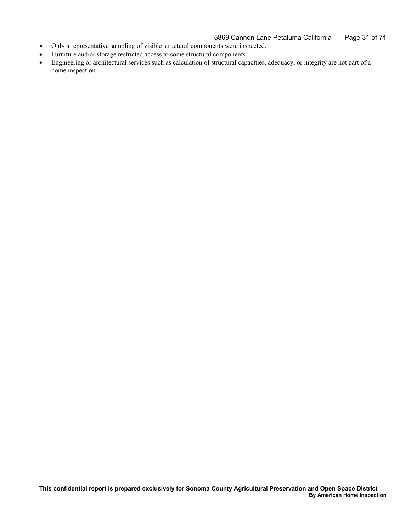#### 5869 Cannon Lane Petaluma California Page 31 of 71

- • Only a representative sampling of visible structural components were inspected.
- • Furniture and/or storage restricted access to some structural components.
- • Engineering or architectural services such as calculation of structural capacities, adequacy, or integrity are not part of a home inspection.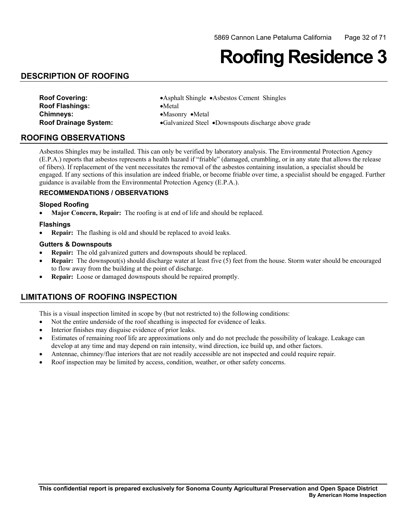## **Roofing Residence 3**

## **DESCRIPTION OF ROOFING**

| <b>Roof Covering:</b>        | • Asphalt Shingle • Asbestos Cement Shingles        |
|------------------------------|-----------------------------------------------------|
| <b>Roof Flashings:</b>       | $\bullet$ Metal                                     |
| <b>Chimneys:</b>             | $\bullet$ Masonry $\bullet$ Metal                   |
| <b>Roof Drainage System:</b> | •Galvanized Steel •Downspouts discharge above grade |

### **ROOFING OBSERVATIONS**

Asbestos Shingles may be installed. This can only be verified by laboratory analysis. The Environmental Protection Agency (E.P.A.) reports that asbestos represents a health hazard if "friable" (damaged, crumbling, or in any state that allows the release of fibers). If replacement of the vent necessitates the removal of the asbestos containing insulation, a specialist should be engaged. If any sections of this insulation are indeed friable, or become friable over time, a specialist should be engaged. Further guidance is available from the Environmental Protection Agency (E.P.A.).

#### **RECOMMENDATIONS / OBSERVATIONS**

#### **Sloped Roofing**

**Major Concern, Repair:** The roofing is at end of life and should be replaced.

#### **Flashings**

• **Repair:** The flashing is old and should be replaced to avoid leaks.

#### **Gutters & Downspouts**

- **Repair:** The old galvanized gutters and downspouts should be replaced.
- • **Repair:** The downspout(s) should discharge water at least five (5) feet from the house. Storm water should be encouraged to flow away from the building at the point of discharge.
- **Repair:** Loose or damaged downspouts should be repaired promptly.

## **LIMITATIONS OF ROOFING INSPECTION**

- Not the entire underside of the roof sheathing is inspected for evidence of leaks.
- Interior finishes may disguise evidence of prior leaks.
- • Estimates of remaining roof life are approximations only and do not preclude the possibility of leakage. Leakage can develop at any time and may depend on rain intensity, wind direction, ice build up, and other factors.
- Antennae, chimney/flue interiors that are not readily accessible are not inspected and could require repair.
- Roof inspection may be limited by access, condition, weather, or other safety concerns.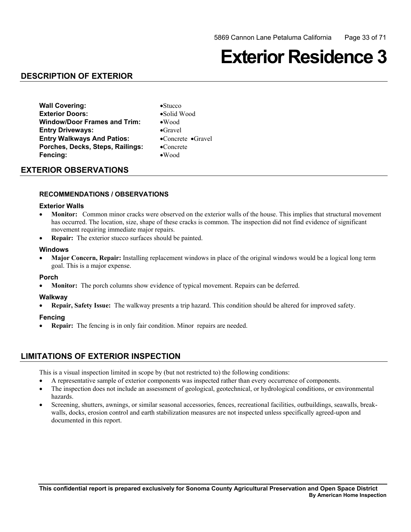## **Exterior Residence 3**

## **DESCRIPTION OF EXTERIOR**

**Wall Covering:** •Stucco **Exterior Doors:** •Solid Wood **Window/Door Frames and Trim:** •Wood **Entry Driveways:** •Gravel **Entry Walkways And Patios:** •Concrete •Gravel **Porches, Decks, Steps, Railings:** •Concrete **Fencing:** •Wood

### **EXTERIOR OBSERVATIONS**

### **RECOMMENDATIONS / OBSERVATIONS**

#### **Exterior Walls**

- **Monitor:** Common minor cracks were observed on the exterior walls of the house. This implies that structural movement has occurred. The location, size, shape of these cracks is common. The inspection did not find evidence of significant movement requiring immediate major repairs.
- • **Repair:** The exterior stucco surfaces should be painted.

#### **Windows**

**Major Concern, Repair:** Installing replacement windows in place of the original windows would be a logical long term goal. This is a major expense.

#### **Porch**

**Monitor:** The porch columns show evidence of typical movement. Repairs can be deferred.

#### **Walkway**

**Repair, Safety Issue:** The walkway presents a trip hazard. This condition should be altered for improved safety.

#### **Fencing**

**Repair:** The fencing is in only fair condition. Minor repairs are needed.

## **LIMITATIONS OF EXTERIOR INSPECTION**

- • A representative sample of exterior components was inspected rather than every occurrence of components.
- The inspection does not include an assessment of geological, geotechnical, or hydrological conditions, or environmental hazards.
- Screening, shutters, awnings, or similar seasonal accessories, fences, recreational facilities, outbuildings, seawalls, breakwalls, docks, erosion control and earth stabilization measures are not inspected unless specifically agreed-upon and documented in this report.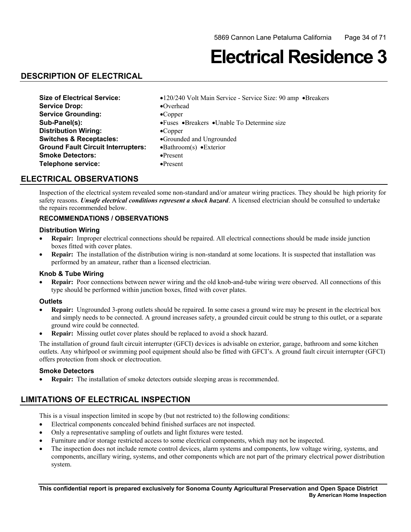## **Electrical Residence 3**

## **DESCRIPTION OF ELECTRICAL**

| <b>Size of Electrical Service:</b>        | •120/240 Volt Main Service - Service Size: 90 amp •Breakers |
|-------------------------------------------|-------------------------------------------------------------|
| <b>Service Drop:</b>                      | $\bullet$ Overhead                                          |
| <b>Service Grounding:</b>                 | $\bullet$ Copper                                            |
| Sub-Panel(s):                             | • Fuses • Breakers • Unable To Determine size               |
| <b>Distribution Wiring:</b>               | $\bullet$ Copper                                            |
| <b>Switches &amp; Receptacles:</b>        | •Grounded and Ungrounded                                    |
| <b>Ground Fault Circuit Interrupters:</b> | $\bullet$ Bathroom(s) $\bullet$ Exterior                    |
| <b>Smoke Detectors:</b>                   | $\bullet$ Present                                           |
| Telephone service:                        | $\bullet$ Present                                           |

## **ELECTRICAL OBSERVATIONS**

Inspection of the electrical system revealed some non-standard and/or amateur wiring practices. They should be high priority for safety reasons. *Unsafe electrical conditions represent a shock hazard*. A licensed electrician should be consulted to undertake the repairs recommended below.

### **RECOMMENDATIONS / OBSERVATIONS**

#### **Distribution Wiring**

- • **Repair:** Improper electrical connections should be repaired. All electrical connections should be made inside junction boxes fitted with cover plates.
- **Repair:** The installation of the distribution wiring is non-standard at some locations. It is suspected that installation was performed by an amateur, rather than a licensed electrician.

#### **Knob & Tube Wiring**

 • **Repair:** Poor connections between newer wiring and the old knob-and-tube wiring were observed. All connections of this type should be performed within junction boxes, fitted with cover plates.

#### **Outlets**

- **Repair:** Ungrounded 3-prong outlets should be repaired. In some cases a ground wire may be present in the electrical box and simply needs to be connected. A ground increases safety, a grounded circuit could be strung to this outlet, or a separate ground wire could be connected.
- **Repair:** Missing outlet cover plates should be replaced to avoid a shock hazard.

 The installation of ground fault circuit interrupter (GFCI) devices is advisable on exterior, garage, bathroom and some kitchen outlets. Any whirlpool or swimming pool equipment should also be fitted with GFCI's. A ground fault circuit interrupter (GFCI) offers protection from shock or electrocution.

#### **Smoke Detectors**

• **Repair:** The installation of smoke detectors outside sleeping areas is recommended.

## **LIMITATIONS OF ELECTRICAL INSPECTION**

- • Electrical components concealed behind finished surfaces are not inspected.
- Only a representative sampling of outlets and light fixtures were tested.
- Furniture and/or storage restricted access to some electrical components, which may not be inspected.
- The inspection does not include remote control devices, alarm systems and components, low voltage wiring, systems, and components, ancillary wiring, systems, and other components which are not part of the primary electrical power distribution system.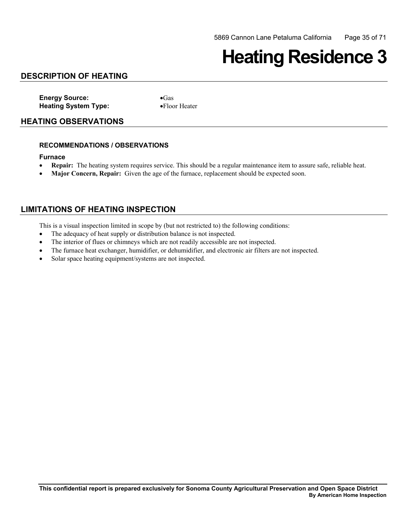## **Heating Residence 3**

## **DESCRIPTION OF HEATING**

**Energy Source:** •Gas **Heating System Type:** •Floor Heater

#### **HEATING OBSERVATIONS**

#### **RECOMMENDATIONS / OBSERVATIONS**

#### **Furnace**

- **Repair:** The heating system requires service. This should be a regular maintenance item to assure safe, reliable heat.
- **Major Concern, Repair:** Given the age of the furnace, replacement should be expected soon.

## **LIMITATIONS OF HEATING INSPECTION**

- The adequacy of heat supply or distribution balance is not inspected.
- The interior of flues or chimneys which are not readily accessible are not inspected.
- The furnace heat exchanger, humidifier, or dehumidifier, and electronic air filters are not inspected.
- Solar space heating equipment/systems are not inspected.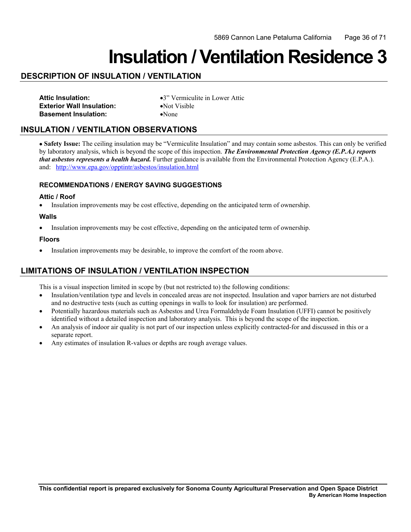## **Insulation / Ventilation Residence 3**

## **DESCRIPTION OF INSULATION / VENTILATION**

| <b>Attic Insulation:</b>         |
|----------------------------------|
| <b>Exterior Wall Insulation:</b> |
| <b>Basement Insulation:</b>      |

**Attic Insulation:** •3" Vermiculite in Lower Attic **•Not Visible** •None

## **INSULATION / VENTILATION OBSERVATIONS**

and: http://www.epa.gov/opptintr/asbestos/insulation.html • **Safety Issue:** The ceiling insulation may be "Vermiculite Insulation" and may contain some asbestos. This can only be verified by laboratory analysis, which is beyond the scope of this inspection. *The Environmental Protection Agency (E.P.A.) reports that asbestos represents a health hazard.* Further guidance is available from the Environmental Protection Agency (E.P.A.).

#### **RECOMMENDATIONS / ENERGY SAVING SUGGESTIONS**

#### **Attic / Roof**

• Insulation improvements may be cost effective, depending on the anticipated term of ownership.

#### **Walls**

• Insulation improvements may be cost effective, depending on the anticipated term of ownership.

#### **Floors**

• Insulation improvements may be desirable, to improve the comfort of the room above.

## **LIMITATIONS OF INSULATION / VENTILATION INSPECTION**

- Insulation/ventilation type and levels in concealed areas are not inspected. Insulation and vapor barriers are not disturbed and no destructive tests (such as cutting openings in walls to look for insulation) are performed.
- Potentially hazardous materials such as Asbestos and Urea Formaldehyde Foam Insulation (UFFI) cannot be positively identified without a detailed inspection and laboratory analysis. This is beyond the scope of the inspection.
- An analysis of indoor air quality is not part of our inspection unless explicitly contracted-for and discussed in this or a separate report.
- Any estimates of insulation R-values or depths are rough average values.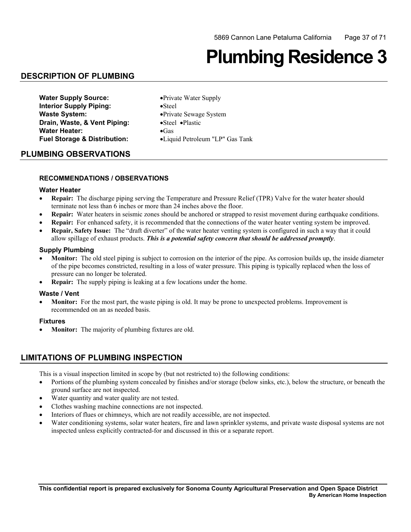# **Plumbing Residence 3**

## **DESCRIPTION OF PLUMBING**

| <b>Water Supply Source:</b>             | • Private Water Supply          |
|-----------------------------------------|---------------------------------|
| <b>Interior Supply Piping:</b>          | $\bullet$ Steel                 |
| <b>Waste System:</b>                    | • Private Sewage System         |
| Drain, Waste, & Vent Piping:            | •Steel •Plastic                 |
| <b>Water Heater:</b>                    | $\bullet$ Gas                   |
| <b>Fuel Storage &amp; Distribution:</b> | •Liquid Petroleum "LP" Gas Tank |

### **PLUMBING OBSERVATIONS**

#### **RECOMMENDATIONS / OBSERVATIONS**

#### **Water Heater**

- **Repair:** The discharge piping serving the Temperature and Pressure Relief (TPR) Valve for the water heater should terminate not less than 6 inches or more than 24 inches above the floor.
- **Repair:** Water heaters in seismic zones should be anchored or strapped to resist movement during earthquake conditions.
- • **Repair:** For enhanced safety, it is recommended that the connections of the water heater venting system be improved.
- **Repair, Safety Issue:** The "draft diverter" of the water heater venting system is configured in such a way that it could allow spillage of exhaust products. *This is a potential safety concern that should be addressed promptly*.

#### **Supply Plumbing**

- **Monitor:** The old steel piping is subject to corrosion on the interior of the pipe. As corrosion builds up, the inside diameter of the pipe becomes constricted, resulting in a loss of water pressure. This piping is typically replaced when the loss of pressure can no longer be tolerated.
- **Repair:** The supply piping is leaking at a few locations under the home.

#### **Waste / Vent**

• **Monitor:** For the most part, the waste piping is old. It may be prone to unexpected problems. Improvement is recommended on an as needed basis.

#### **Fixtures**

**Monitor:** The majority of plumbing fixtures are old.

## **LIMITATIONS OF PLUMBING INSPECTION**

- Portions of the plumbing system concealed by finishes and/or storage (below sinks, etc.), below the structure, or beneath the ground surface are not inspected.
- Water quantity and water quality are not tested.
- Clothes washing machine connections are not inspected.
- Interiors of flues or chimneys, which are not readily accessible, are not inspected.
- Water conditioning systems, solar water heaters, fire and lawn sprinkler systems, and private waste disposal systems are not inspected unless explicitly contracted-for and discussed in this or a separate report.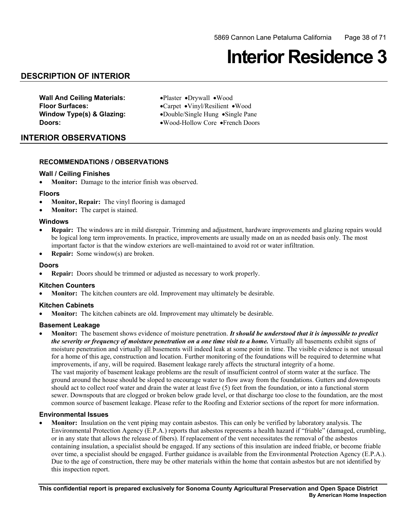## **Interior Residence 3**

### **DESCRIPTION OF INTERIOR**

**Wall And Ceiling Materials:** •Plaster •Drywall •Wood

 **Floor Surfaces:** •Carpet •Vinyl/Resilient •Wood **Window Type(s) & Glazing:** •Double/Single Hung •Single Pane **Doors:** •Wood-Hollow Core •French Doors

### **INTERIOR OBSERVATIONS**

#### **RECOMMENDATIONS / OBSERVATIONS**

#### **Wall / Ceiling Finishes**

• **Monitor:** Damage to the interior finish was observed.

#### **Floors**

- **Monitor, Repair:** The vinyl flooring is damaged
- **Monitor:** The carpet is stained.

#### **Windows**

- **Repair:** The windows are in mild disrepair. Trimming and adjustment, hardware improvements and glazing repairs would be logical long term improvements. In practice, improvements are usually made on an as needed basis only. The most important factor is that the window exteriors are well-maintained to avoid rot or water infiltration.
- • **Repair:** Some window(s) are broken.

#### **Doors**

• **Repair:** Doors should be trimmed or adjusted as necessary to work properly.

#### **Kitchen Counters**

**Monitor:** The kitchen counters are old. Improvement may ultimately be desirable.

#### **Kitchen Cabinets**

**Monitor:** The kitchen cabinets are old. Improvement may ultimately be desirable.

#### **Basement Leakage**

**Monitor:** The basement shows evidence of moisture penetration. *It should be understood that it is impossible to predict the severity or frequency of moisture penetration on a one time visit to a home.* Virtually all basements exhibit signs of moisture penetration and virtually all basements will indeed leak at some point in time. The visible evidence is not unusual for a home of this age, construction and location. Further monitoring of the foundations will be required to determine what improvements, if any, will be required. Basement leakage rarely affects the structural integrity of a home. The vast majority of basement leakage problems are the result of insufficient control of storm water at the surface. The ground around the house should be sloped to encourage water to flow away from the foundations. Gutters and downspouts should act to collect roof water and drain the water at least five (5) feet from the foundation, or into a functional storm sewer. Downspouts that are clogged or broken below grade level, or that discharge too close to the foundation, are the most common source of basement leakage. Please refer to the Roofing and Exterior sections of the report for more information.

#### **Environmental Issues**

 containing insulation, a specialist should be engaged. If any sections of this insulation are indeed friable, or become friable Monitor: Insulation on the vent piping may contain asbestos. This can only be verified by laboratory analysis. The Environmental Protection Agency (E.P.A.) reports that asbestos represents a health hazard if "friable" (damaged, crumbling, or in any state that allows the release of fibers). If replacement of the vent necessitates the removal of the asbestos over time, a specialist should be engaged. Further guidance is available from the Environmental Protection Agency (E.P.A.). Due to the age of construction, there may be other materials within the home that contain asbestos but are not identified by this inspection report.

**This confidential report is prepared exclusively for Sonoma County Agricultural Preservation and Open Space District By American Home Inspection**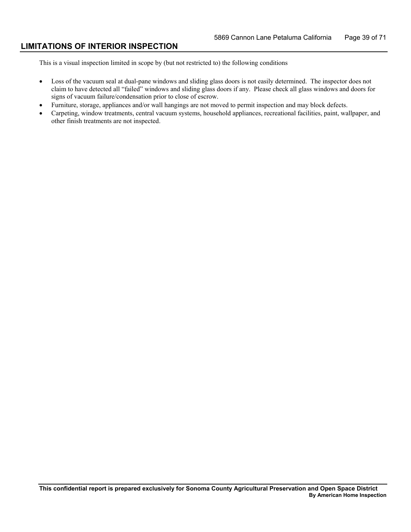### **LIMITATIONS OF INTERIOR INSPECTION**

- Loss of the vacuum seal at dual-pane windows and sliding glass doors is not easily determined. The inspector does not claim to have detected all "failed" windows and sliding glass doors if any. Please check all glass windows and doors for signs of vacuum failure/condensation prior to close of escrow.
- • Furniture, storage, appliances and/or wall hangings are not moved to permit inspection and may block defects.
- Carpeting, window treatments, central vacuum systems, household appliances, recreational facilities, paint, wallpaper, and other finish treatments are not inspected.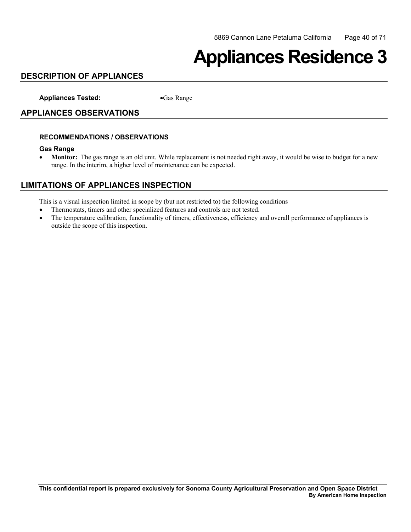## **Appliances Residence 3**

## **DESCRIPTION OF APPLIANCES**

**Appliances Tested:** •Gas Range

### **APPLIANCES OBSERVATIONS**

#### **RECOMMENDATIONS / OBSERVATIONS**

#### **Gas Range**

• **Monitor:** The gas range is an old unit. While replacement is not needed right away, it would be wise to budget for a new range. In the interim, a higher level of maintenance can be expected.

## **LIMITATIONS OF APPLIANCES INSPECTION**

- • Thermostats, timers and other specialized features and controls are not tested.
- The temperature calibration, functionality of timers, effectiveness, efficiency and overall performance of appliances is outside the scope of this inspection.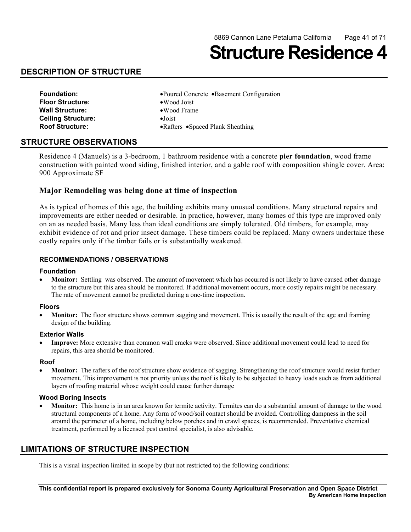**Structure Residence 4** 

## **DESCRIPTION OF STRUCTURE**

| <b>Foundation:</b>        | •Poured Concrete •Basement Configuration |
|---------------------------|------------------------------------------|
| <b>Floor Structure:</b>   | $\bullet$ Wood Joist                     |
| <b>Wall Structure:</b>    | $\bullet$ Wood Frame                     |
| <b>Ceiling Structure:</b> | $\bullet$ Joist                          |
| <b>Roof Structure:</b>    | • Rafters • Spaced Plank Sheathing       |

#### **STRUCTURE OBSERVATIONS**

 Residence 4 (Manuels) is a 3-bedroom, 1 bathroom residence with a concrete **pier foundation**, wood frame construction with painted wood siding, finished interior, and a gable roof with composition shingle cover. Area: 900 Approximate SF

#### **Major Remodeling was being done at time of inspection**

As is typical of homes of this age, the building exhibits many unusual conditions. Many structural repairs and improvements are either needed or desirable. In practice, however, many homes of this type are improved only on an as needed basis. Many less than ideal conditions are simply tolerated. Old timbers, for example, may exhibit evidence of rot and prior insect damage. These timbers could be replaced. Many owners undertake these costly repairs only if the timber fails or is substantially weakened.

#### **RECOMMENDATIONS / OBSERVATIONS**

#### **Foundation**

**Monitor:** Settling was observed. The amount of movement which has occurred is not likely to have caused other damage to the structure but this area should be monitored. If additional movement occurs, more costly repairs might be necessary. The rate of movement cannot be predicted during a one-time inspection.

#### **Floors**

**Monitor:** The floor structure shows common sagging and movement. This is usually the result of the age and framing design of the building.

#### **Exterior Walls**

**Improve:** More extensive than common wall cracks were observed. Since additional movement could lead to need for repairs, this area should be monitored.

#### **Roof**

**Monitor:** The rafters of the roof structure show evidence of sagging. Strengthening the roof structure would resist further movement. This improvement is not priority unless the roof is likely to be subjected to heavy loads such as from additional layers of roofing material whose weight could cause further damage

#### **Wood Boring Insects**

**Monitor:** This home is in an area known for termite activity. Termites can do a substantial amount of damage to the wood structural components of a home. Any form of wood/soil contact should be avoided. Controlling dampness in the soil around the perimeter of a home, including below porches and in crawl spaces, is recommended. Preventative chemical treatment, performed by a licensed pest control specialist, is also advisable.

## **LIMITATIONS OF STRUCTURE INSPECTION**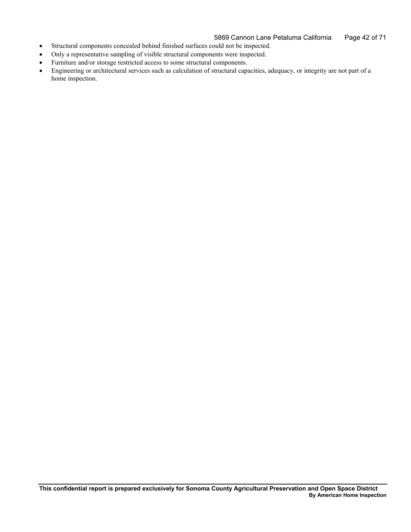5869 Cannon Lane Petaluma California Page 42 of 71

- • Structural components concealed behind finished surfaces could not be inspected.
- Only a representative sampling of visible structural components were inspected.
- • Furniture and/or storage restricted access to some structural components.
- • Engineering or architectural services such as calculation of structural capacities, adequacy, or integrity are not part of a home inspection.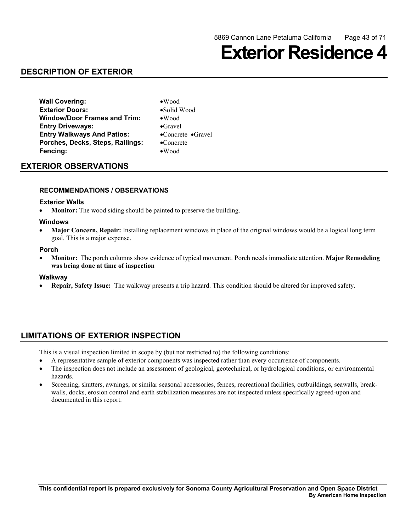## **Exterior Residence 4**

## **DESCRIPTION OF EXTERIOR**

**Wall Covering:** •Wood **Exterior Doors:** •Solid Wood **Window/Door Frames and Trim:** •Wood **Entry Driveways:** •Gravel **Entry Walkways And Patios:** •Concrete •Gravel **Porches, Decks, Steps, Railings:** •Concrete **Fencing:** •Wood

- 
- 
- 

## **EXTERIOR OBSERVATIONS**

#### **RECOMMENDATIONS / OBSERVATIONS**

#### **Exterior Walls**

• Monitor: The wood siding should be painted to preserve the building.

#### **Windows**

**Major Concern, Repair:** Installing replacement windows in place of the original windows would be a logical long term goal. This is a major expense.

#### **Porch**

**Monitor:** The porch columns show evidence of typical movement. Porch needs immediate attention. **Major Remodeling was being done at time of inspection** 

#### **Walkway**

**Repair, Safety Issue:** The walkway presents a trip hazard. This condition should be altered for improved safety.

## **LIMITATIONS OF EXTERIOR INSPECTION**

- A representative sample of exterior components was inspected rather than every occurrence of components.
- The inspection does not include an assessment of geological, geotechnical, or hydrological conditions, or environmental hazards.
- Screening, shutters, awnings, or similar seasonal accessories, fences, recreational facilities, outbuildings, seawalls, breakwalls, docks, erosion control and earth stabilization measures are not inspected unless specifically agreed-upon and documented in this report.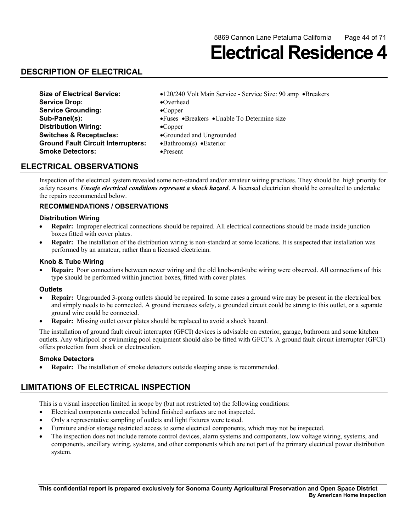**Electrical Residence 4** 

## **DESCRIPTION OF ELECTRICAL**

| <b>Size of Electrical Service:</b>        | •120/240 Volt Main Service - Service Size: 90 amp •Breakers |
|-------------------------------------------|-------------------------------------------------------------|
| <b>Service Drop:</b>                      | $\bullet$ Overhead                                          |
| <b>Service Grounding:</b>                 | $\bullet$ Copper                                            |
| Sub-Panel(s):                             | • Fuses • Breakers • Unable To Determine size               |
| <b>Distribution Wiring:</b>               | $\bullet$ Copper                                            |
| <b>Switches &amp; Receptacles:</b>        | •Grounded and Ungrounded                                    |
| <b>Ground Fault Circuit Interrupters:</b> | $\bullet$ Bathroom(s) $\bullet$ Exterior                    |
| <b>Smoke Detectors:</b>                   | $\bullet$ Present                                           |

### **ELECTRICAL OBSERVATIONS**

Inspection of the electrical system revealed some non-standard and/or amateur wiring practices. They should be high priority for safety reasons. *Unsafe electrical conditions represent a shock hazard*. A licensed electrician should be consulted to undertake the repairs recommended below.

#### **RECOMMENDATIONS / OBSERVATIONS**

#### **Distribution Wiring**

- **Repair:** Improper electrical connections should be repaired. All electrical connections should be made inside junction boxes fitted with cover plates.
- Repair: The installation of the distribution wiring is non-standard at some locations. It is suspected that installation was performed by an amateur, rather than a licensed electrician.

#### **Knob & Tube Wiring**

 • **Repair:** Poor connections between newer wiring and the old knob-and-tube wiring were observed. All connections of this type should be performed within junction boxes, fitted with cover plates.

#### **Outlets**

- **Repair:** Ungrounded 3-prong outlets should be repaired. In some cases a ground wire may be present in the electrical box and simply needs to be connected. A ground increases safety, a grounded circuit could be strung to this outlet, or a separate ground wire could be connected.
- **Repair:** Missing outlet cover plates should be replaced to avoid a shock hazard.

 The installation of ground fault circuit interrupter (GFCI) devices is advisable on exterior, garage, bathroom and some kitchen outlets. Any whirlpool or swimming pool equipment should also be fitted with GFCI's. A ground fault circuit interrupter (GFCI) offers protection from shock or electrocution.

#### **Smoke Detectors**

**Repair:** The installation of smoke detectors outside sleeping areas is recommended.

## **LIMITATIONS OF ELECTRICAL INSPECTION**

- Electrical components concealed behind finished surfaces are not inspected.
- Only a representative sampling of outlets and light fixtures were tested.
- Furniture and/or storage restricted access to some electrical components, which may not be inspected.
- The inspection does not include remote control devices, alarm systems and components, low voltage wiring, systems, and components, ancillary wiring, systems, and other components which are not part of the primary electrical power distribution system.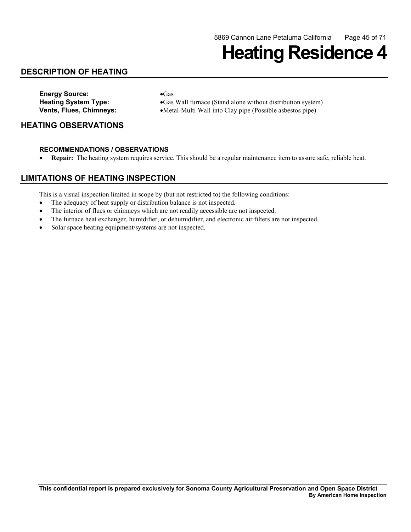## **Heating Residence 4**

## **DESCRIPTION OF HEATING**

**Energy Source:** •Gas

**Heating System Type:** •Gas Wall furnace (Stand alone without distribution system) **Vents, Flues, Chimneys:** •Metal-Multi Wall into Clay pipe (Possible asbestos pipe)

### **HEATING OBSERVATIONS**

#### **RECOMMENDATIONS / OBSERVATIONS**

• **Repair:** The heating system requires service. This should be a regular maintenance item to assure safe, reliable heat.

### **LIMITATIONS OF HEATING INSPECTION**

- The adequacy of heat supply or distribution balance is not inspected.
- The interior of flues or chimneys which are not readily accessible are not inspected.
- The furnace heat exchanger, humidifier, or dehumidifier, and electronic air filters are not inspected.
- Solar space heating equipment/systems are not inspected.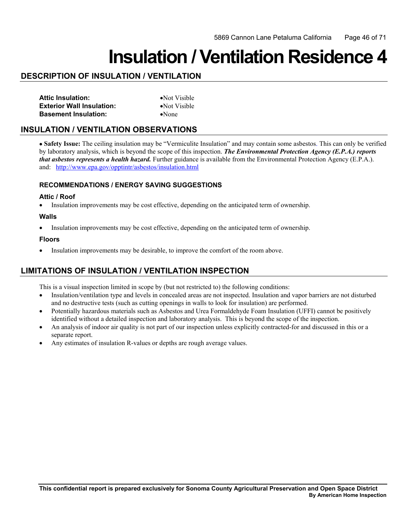## **Insulation / Ventilation Residence 4**

## **DESCRIPTION OF INSULATION / VENTILATION**

| <b>Attic Insulation:</b>         | $\bullet$ Not Visible |
|----------------------------------|-----------------------|
| <b>Exterior Wall Insulation:</b> | • Not Visible         |
| <b>Basement Insulation:</b>      | $\bullet$ None        |

## **INSULATION / VENTILATION OBSERVATIONS**

and: http://www.epa.gov/opptintr/asbestos/insulation.html • **Safety Issue:** The ceiling insulation may be "Vermiculite Insulation" and may contain some asbestos. This can only be verified by laboratory analysis, which is beyond the scope of this inspection. *The Environmental Protection Agency (E.P.A.) reports that asbestos represents a health hazard.* Further guidance is available from the Environmental Protection Agency (E.P.A.).

#### **RECOMMENDATIONS / ENERGY SAVING SUGGESTIONS**

#### **Attic / Roof**

• Insulation improvements may be cost effective, depending on the anticipated term of ownership.

#### **Walls**

• Insulation improvements may be cost effective, depending on the anticipated term of ownership.

#### **Floors**

• Insulation improvements may be desirable, to improve the comfort of the room above.

## **LIMITATIONS OF INSULATION / VENTILATION INSPECTION**

- Insulation/ventilation type and levels in concealed areas are not inspected. Insulation and vapor barriers are not disturbed and no destructive tests (such as cutting openings in walls to look for insulation) are performed.
- Potentially hazardous materials such as Asbestos and Urea Formaldehyde Foam Insulation (UFFI) cannot be positively identified without a detailed inspection and laboratory analysis. This is beyond the scope of the inspection.
- An analysis of indoor air quality is not part of our inspection unless explicitly contracted-for and discussed in this or a separate report.
- Any estimates of insulation R-values or depths are rough average values.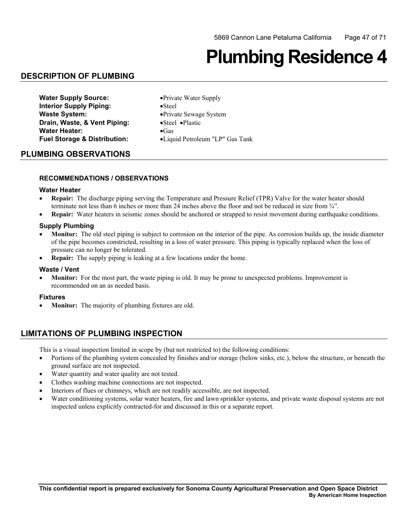## **Plumbing Residence 4**

## **DESCRIPTION OF PLUMBING**

| <b>Water Supply Source:</b>             | • Private Water Supply          |
|-----------------------------------------|---------------------------------|
| <b>Interior Supply Piping:</b>          | $\bullet$ Steel                 |
| <b>Waste System:</b>                    | • Private Sewage System         |
| Drain, Waste, & Vent Piping:            | •Steel •Plastic                 |
| <b>Water Heater:</b>                    | $\bullet$ Gas                   |
| <b>Fuel Storage &amp; Distribution:</b> | •Liquid Petroleum "LP" Gas Tank |

#### **PLUMBING OBSERVATIONS**

#### **RECOMMENDATIONS / OBSERVATIONS**

#### **Water Heater**

- **Repair:** The discharge piping serving the Temperature and Pressure Relief (TPR) Valve for the water heater should terminate not less than 6 inches or more than 24 inches above the floor and not be reduced in size from ¾".
- **Repair:** Water heaters in seismic zones should be anchored or strapped to resist movement during earthquake conditions.

#### **Supply Plumbing**

- **Monitor:** The old steel piping is subject to corrosion on the interior of the pipe. As corrosion builds up, the inside diameter of the pipe becomes constricted, resulting in a loss of water pressure. This piping is typically replaced when the loss of pressure can no longer be tolerated.
- **Repair:** The supply piping is leaking at a few locations under the home.

#### **Waste / Vent**

**Monitor:** For the most part, the waste piping is old. It may be prone to unexpected problems. Improvement is recommended on an as needed basis.

#### **Fixtures**

• **Monitor:** The majority of plumbing fixtures are old.

### **LIMITATIONS OF PLUMBING INSPECTION**

- Portions of the plumbing system concealed by finishes and/or storage (below sinks, etc.), below the structure, or beneath the ground surface are not inspected.
- Water quantity and water quality are not tested.
- Clothes washing machine connections are not inspected.
- Interiors of flues or chimneys, which are not readily accessible, are not inspected.
- Water conditioning systems, solar water heaters, fire and lawn sprinkler systems, and private waste disposal systems are not inspected unless explicitly contracted-for and discussed in this or a separate report.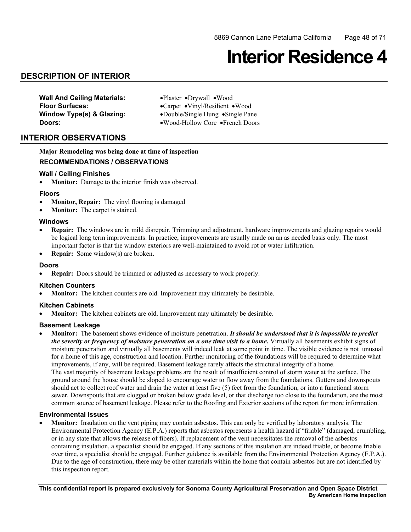## **Interior Residence 4**

## **DESCRIPTION OF INTERIOR**

**Wall And Ceiling Materials:** •Plaster •Drywall •Wood

 **Floor Surfaces:** •Carpet •Vinyl/Resilient •Wood **Window Type(s) & Glazing:** •Double/Single Hung •Single Pane **Doors:** •Wood-Hollow Core •French Doors

### **INTERIOR OBSERVATIONS**

**Major Remodeling was being done at time of inspection RECOMMENDATIONS / OBSERVATIONS** 

#### **Wall / Ceiling Finishes**

• **Monitor:** Damage to the interior finish was observed.

#### **Floors**

- **Monitor, Repair:** The vinyl flooring is damaged
- **Monitor:** The carpet is stained.

#### **Windows**

- **Repair:** The windows are in mild disrepair. Trimming and adjustment, hardware improvements and glazing repairs would be logical long term improvements. In practice, improvements are usually made on an as needed basis only. The most important factor is that the window exteriors are well-maintained to avoid rot or water infiltration.
- • **Repair:** Some window(s) are broken.

#### **Doors**

• **Repair:** Doors should be trimmed or adjusted as necessary to work properly.

#### **Kitchen Counters**

**Monitor:** The kitchen counters are old. Improvement may ultimately be desirable.

#### **Kitchen Cabinets**

**Monitor:** The kitchen cabinets are old. Improvement may ultimately be desirable.

#### **Basement Leakage**

**Monitor:** The basement shows evidence of moisture penetration. *It should be understood that it is impossible to predict the severity or frequency of moisture penetration on a one time visit to a home.* Virtually all basements exhibit signs of moisture penetration and virtually all basements will indeed leak at some point in time. The visible evidence is not unusual for a home of this age, construction and location. Further monitoring of the foundations will be required to determine what improvements, if any, will be required. Basement leakage rarely affects the structural integrity of a home. The vast majority of basement leakage problems are the result of insufficient control of storm water at the surface. The ground around the house should be sloped to encourage water to flow away from the foundations. Gutters and downspouts should act to collect roof water and drain the water at least five (5) feet from the foundation, or into a functional storm sewer. Downspouts that are clogged or broken below grade level, or that discharge too close to the foundation, are the most common source of basement leakage. Please refer to the Roofing and Exterior sections of the report for more information.

#### **Environmental Issues**

 containing insulation, a specialist should be engaged. If any sections of this insulation are indeed friable, or become friable **Monitor:** Insulation on the vent piping may contain asbestos. This can only be verified by laboratory analysis. The Environmental Protection Agency (E.P.A.) reports that asbestos represents a health hazard if "friable" (damaged, crumbling, or in any state that allows the release of fibers). If replacement of the vent necessitates the removal of the asbestos over time, a specialist should be engaged. Further guidance is available from the Environmental Protection Agency (E.P.A.). Due to the age of construction, there may be other materials within the home that contain asbestos but are not identified by this inspection report.

**This confidential report is prepared exclusively for Sonoma County Agricultural Preservation and Open Space District By American Home Inspection**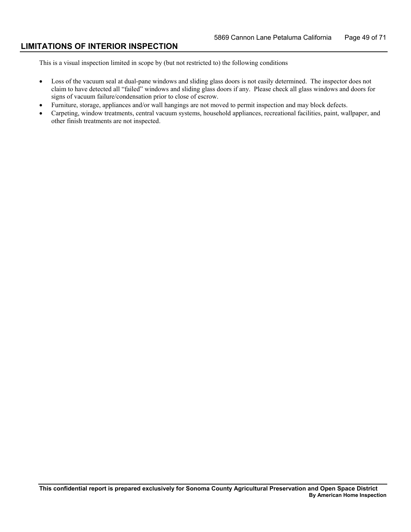### **LIMITATIONS OF INTERIOR INSPECTION**

- Loss of the vacuum seal at dual-pane windows and sliding glass doors is not easily determined. The inspector does not claim to have detected all "failed" windows and sliding glass doors if any. Please check all glass windows and doors for signs of vacuum failure/condensation prior to close of escrow.
- • Furniture, storage, appliances and/or wall hangings are not moved to permit inspection and may block defects.
- Carpeting, window treatments, central vacuum systems, household appliances, recreational facilities, paint, wallpaper, and other finish treatments are not inspected.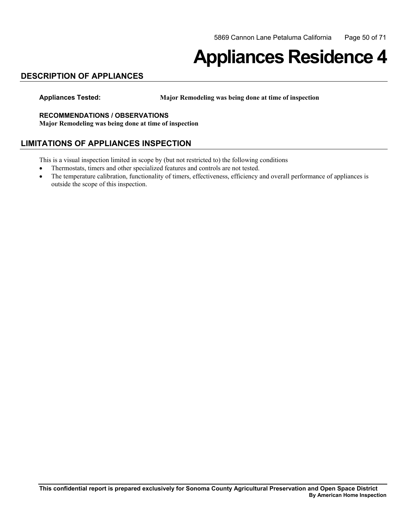## **Appliances Residence 4**

## **DESCRIPTION OF APPLIANCES**

**Appliances Tested: Major Remodeling was being done at time of inspection** 

#### **RECOMMENDATIONS / OBSERVATIONS**

**Major Remodeling was being done at time of inspection** 

### **LIMITATIONS OF APPLIANCES INSPECTION**

- Thermostats, timers and other specialized features and controls are not tested.
- The temperature calibration, functionality of timers, effectiveness, efficiency and overall performance of appliances is outside the scope of this inspection.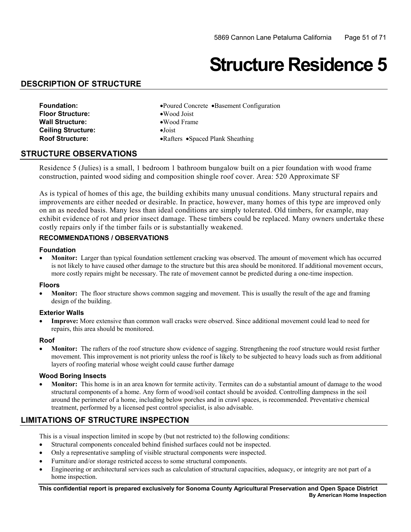## **Structure Residence 5**

### **DESCRIPTION OF STRUCTURE**

- **Floor Structure:** •Wood Joist **Wall Structure:** •Wood Frame **Ceiling Structure:** •Joist
- **Foundation:** •Poured Concrete •Basement Configuration
	-
- **Roof Structure:** •Rafters •Spaced Plank Sheathing

### **STRUCTURE OBSERVATIONS**

 Residence 5 (Julies) is a small, 1 bedroom 1 bathroom bungalow built on a pier foundation with wood frame construction, painted wood siding and composition shingle roof cover. Area: 520 Approximate SF

As is typical of homes of this age, the building exhibits many unusual conditions. Many structural repairs and improvements are either needed or desirable. In practice, however, many homes of this type are improved only on an as needed basis. Many less than ideal conditions are simply tolerated. Old timbers, for example, may exhibit evidence of rot and prior insect damage. These timbers could be replaced. Many owners undertake these costly repairs only if the timber fails or is substantially weakened.

#### **RECOMMENDATIONS / OBSERVATIONS**

#### **Foundation**

• **Monitor:** Larger than typical foundation settlement cracking was observed. The amount of movement which has occurred is not likely to have caused other damage to the structure but this area should be monitored. If additional movement occurs, more costly repairs might be necessary. The rate of movement cannot be predicted during a one-time inspection.

#### **Floors**

Monitor: The floor structure shows common sagging and movement. This is usually the result of the age and framing design of the building.

#### **Exterior Walls**

**Improve:** More extensive than common wall cracks were observed. Since additional movement could lead to need for repairs, this area should be monitored.

#### **Roof**

**Monitor:** The rafters of the roof structure show evidence of sagging. Strengthening the roof structure would resist further movement. This improvement is not priority unless the roof is likely to be subjected to heavy loads such as from additional layers of roofing material whose weight could cause further damage

#### **Wood Boring Insects**

**Monitor:** This home is in an area known for termite activity. Termites can do a substantial amount of damage to the wood structural components of a home. Any form of wood/soil contact should be avoided. Controlling dampness in the soil around the perimeter of a home, including below porches and in crawl spaces, is recommended. Preventative chemical treatment, performed by a licensed pest control specialist, is also advisable.

## **LIMITATIONS OF STRUCTURE INSPECTION**

This is a visual inspection limited in scope by (but not restricted to) the following conditions:

- Structural components concealed behind finished surfaces could not be inspected.
- Only a representative sampling of visible structural components were inspected.
- Furniture and/or storage restricted access to some structural components.
- Engineering or architectural services such as calculation of structural capacities, adequacy, or integrity are not part of a home inspection.

**This confidential report is prepared exclusively for Sonoma County Agricultural Preservation and Open Space District By American Home Inspection**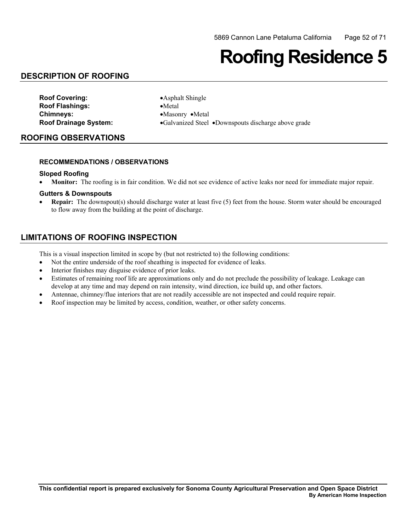## **Roofing Residence 5**

## **DESCRIPTION OF ROOFING**

| <b>Roof Covering:</b>        |
|------------------------------|
| <b>Roof Flashings:</b>       |
| <b>Chimneys:</b>             |
| <b>Roof Drainage System:</b> |

**•Asphalt Shingle** •Metal **Chimneys:** •Masonry •Metal •Galvanized Steel •Downspouts discharge above grade

## **ROOFING OBSERVATIONS**

#### **RECOMMENDATIONS / OBSERVATIONS**

#### **Sloped Roofing**

• **Monitor:** The roofing is in fair condition. We did not see evidence of active leaks nor need for immediate major repair.

#### **Gutters & Downspouts**

 • **Repair:** The downspout(s) should discharge water at least five (5) feet from the house. Storm water should be encouraged to flow away from the building at the point of discharge.

## **LIMITATIONS OF ROOFING INSPECTION**

- Not the entire underside of the roof sheathing is inspected for evidence of leaks.
- Interior finishes may disguise evidence of prior leaks.
- • Estimates of remaining roof life are approximations only and do not preclude the possibility of leakage. Leakage can develop at any time and may depend on rain intensity, wind direction, ice build up, and other factors.
- Antennae, chimney/flue interiors that are not readily accessible are not inspected and could require repair.
- Roof inspection may be limited by access, condition, weather, or other safety concerns.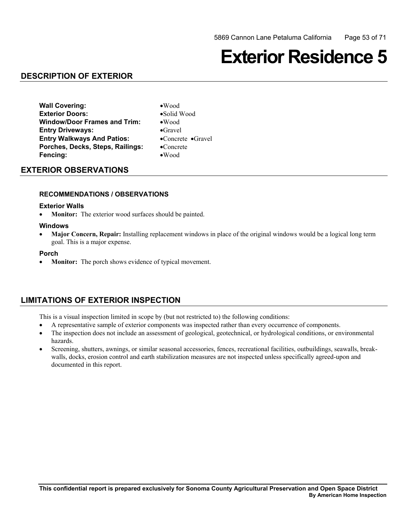## **Exterior Residence 5**

## **DESCRIPTION OF EXTERIOR**

**Wall Covering:** •Wood **Exterior Doors:** •Solid Wood **Window/Door Frames and Trim:** •Wood **Entry Driveways:** •Gravel **Entry Walkways And Patios:** •Concrete •Gravel **Porches, Decks, Steps, Railings:** •Concrete **Fencing:** •Wood

## **EXTERIOR OBSERVATIONS**

#### **RECOMMENDATIONS / OBSERVATIONS**

#### **Exterior Walls**

• **Monitor:** The exterior wood surfaces should be painted.

#### **Windows**

**Major Concern, Repair:** Installing replacement windows in place of the original windows would be a logical long term goal. This is a major expense.

#### **Porch**

• **Monitor:** The porch shows evidence of typical movement.

## **LIMITATIONS OF EXTERIOR INSPECTION**

- A representative sample of exterior components was inspected rather than every occurrence of components.
- The inspection does not include an assessment of geological, geotechnical, or hydrological conditions, or environmental hazards.
- Screening, shutters, awnings, or similar seasonal accessories, fences, recreational facilities, outbuildings, seawalls, breakwalls, docks, erosion control and earth stabilization measures are not inspected unless specifically agreed-upon and documented in this report.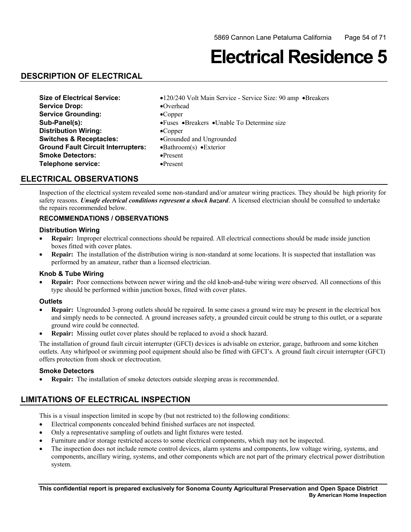## **Electrical Residence 5**

## **DESCRIPTION OF ELECTRICAL**

| <b>Size of Electrical Service:</b>        | •120/240 Volt Main Service - Service Size: 90 amp •Breakers |
|-------------------------------------------|-------------------------------------------------------------|
| <b>Service Drop:</b>                      | $\bullet$ Overhead                                          |
| <b>Service Grounding:</b>                 | $\bullet$ Copper                                            |
| Sub-Panel(s):                             | • Fuses • Breakers • Unable To Determine size               |
| <b>Distribution Wiring:</b>               | $\bullet$ Copper                                            |
| <b>Switches &amp; Receptacles:</b>        | •Grounded and Ungrounded                                    |
| <b>Ground Fault Circuit Interrupters:</b> | $\bullet$ Bathroom(s) $\bullet$ Exterior                    |
| <b>Smoke Detectors:</b>                   | $\bullet$ Present                                           |
| Telephone service:                        | $\bullet$ Present                                           |

## **ELECTRICAL OBSERVATIONS**

Inspection of the electrical system revealed some non-standard and/or amateur wiring practices. They should be high priority for safety reasons. *Unsafe electrical conditions represent a shock hazard*. A licensed electrician should be consulted to undertake the repairs recommended below.

### **RECOMMENDATIONS / OBSERVATIONS**

#### **Distribution Wiring**

- • **Repair:** Improper electrical connections should be repaired. All electrical connections should be made inside junction boxes fitted with cover plates.
- **Repair:** The installation of the distribution wiring is non-standard at some locations. It is suspected that installation was performed by an amateur, rather than a licensed electrician.

#### **Knob & Tube Wiring**

 • **Repair:** Poor connections between newer wiring and the old knob-and-tube wiring were observed. All connections of this type should be performed within junction boxes, fitted with cover plates.

#### **Outlets**

- and simply needs to be connected. A ground increases safety, a grounded circuit could be strung to this outlet, or a separate **Repair:** Ungrounded 3-prong outlets should be repaired. In some cases a ground wire may be present in the electrical box ground wire could be connected.
- **Repair:** Missing outlet cover plates should be replaced to avoid a shock hazard.

 The installation of ground fault circuit interrupter (GFCI) devices is advisable on exterior, garage, bathroom and some kitchen outlets. Any whirlpool or swimming pool equipment should also be fitted with GFCI's. A ground fault circuit interrupter (GFCI) offers protection from shock or electrocution.

#### **Smoke Detectors**

• **Repair:** The installation of smoke detectors outside sleeping areas is recommended.

## **LIMITATIONS OF ELECTRICAL INSPECTION**

- • Electrical components concealed behind finished surfaces are not inspected.
- Only a representative sampling of outlets and light fixtures were tested.
- Furniture and/or storage restricted access to some electrical components, which may not be inspected.
- The inspection does not include remote control devices, alarm systems and components, low voltage wiring, systems, and components, ancillary wiring, systems, and other components which are not part of the primary electrical power distribution system.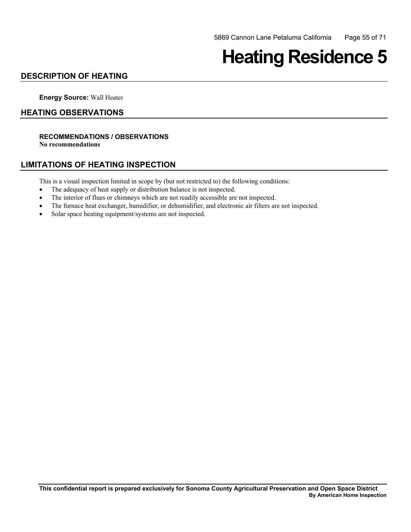## **Heating Residence 5**

## **DESCRIPTION OF HEATING**

**Energy Source:** Wall Heater

### **HEATING OBSERVATIONS**

## **RECOMMENDATIONS / OBSERVATIONS**

**No recommendations** 

### **LIMITATIONS OF HEATING INSPECTION**

- The adequacy of heat supply or distribution balance is not inspected.
- The interior of flues or chimneys which are not readily accessible are not inspected.
- The furnace heat exchanger, humidifier, or dehumidifier, and electronic air filters are not inspected.
- Solar space heating equipment/systems are not inspected.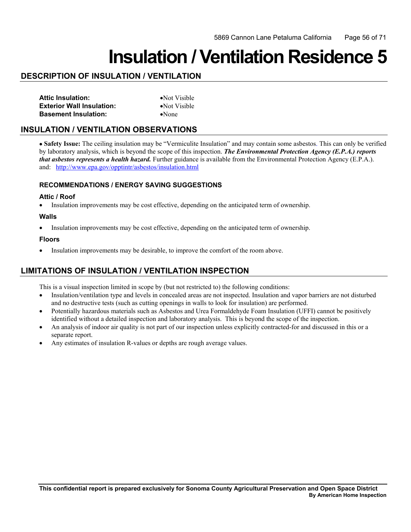## **Insulation / Ventilation Residence 5**

## **DESCRIPTION OF INSULATION / VENTILATION**

| <b>Attic Insulation:</b>         | $\bullet$ Not Visible |
|----------------------------------|-----------------------|
| <b>Exterior Wall Insulation:</b> | • Not Visible         |
| <b>Basement Insulation:</b>      | $\bullet$ None        |

## **INSULATION / VENTILATION OBSERVATIONS**

and: http://www.epa.gov/opptintr/asbestos/insulation.html • **Safety Issue:** The ceiling insulation may be "Vermiculite Insulation" and may contain some asbestos. This can only be verified by laboratory analysis, which is beyond the scope of this inspection. *The Environmental Protection Agency (E.P.A.) reports that asbestos represents a health hazard.* Further guidance is available from the Environmental Protection Agency (E.P.A.).

### **RECOMMENDATIONS / ENERGY SAVING SUGGESTIONS**

#### **Attic / Roof**

• Insulation improvements may be cost effective, depending on the anticipated term of ownership.

#### **Walls**

• Insulation improvements may be cost effective, depending on the anticipated term of ownership.

#### **Floors**

• Insulation improvements may be desirable, to improve the comfort of the room above.

## **LIMITATIONS OF INSULATION / VENTILATION INSPECTION**

- Insulation/ventilation type and levels in concealed areas are not inspected. Insulation and vapor barriers are not disturbed and no destructive tests (such as cutting openings in walls to look for insulation) are performed.
- Potentially hazardous materials such as Asbestos and Urea Formaldehyde Foam Insulation (UFFI) cannot be positively identified without a detailed inspection and laboratory analysis. This is beyond the scope of the inspection.
- An analysis of indoor air quality is not part of our inspection unless explicitly contracted-for and discussed in this or a separate report.
- Any estimates of insulation R-values or depths are rough average values.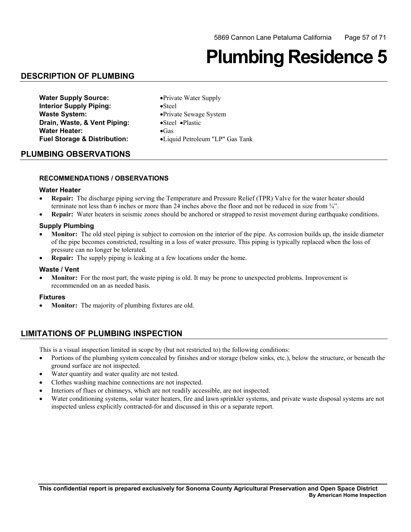## **Plumbing Residence 5**

## **DESCRIPTION OF PLUMBING**

| <b>Water Supply Source:</b>             | • Private Water Supply            |
|-----------------------------------------|-----------------------------------|
| <b>Interior Supply Piping:</b>          | $\bullet$ Steel                   |
| <b>Waste System:</b>                    | • Private Sewage System           |
| Drain, Waste, & Vent Piping:            | $\bullet$ Steel $\bullet$ Plastic |
| <b>Water Heater:</b>                    | $\bullet$ Gas                     |
| <b>Fuel Storage &amp; Distribution:</b> | •Liquid Petroleum "LP" Gas Tank   |

#### **PLUMBING OBSERVATIONS**

#### **RECOMMENDATIONS / OBSERVATIONS**

#### **Water Heater**

- **Repair:** The discharge piping serving the Temperature and Pressure Relief (TPR) Valve for the water heater should terminate not less than 6 inches or more than 24 inches above the floor and not be reduced in size from ¾".
- **Repair:** Water heaters in seismic zones should be anchored or strapped to resist movement during earthquake conditions.

#### **Supply Plumbing**

- **Monitor:** The old steel piping is subject to corrosion on the interior of the pipe. As corrosion builds up, the inside diameter of the pipe becomes constricted, resulting in a loss of water pressure. This piping is typically replaced when the loss of pressure can no longer be tolerated.
- **Repair:** The supply piping is leaking at a few locations under the home.

#### **Waste / Vent**

• **Monitor:** For the most part, the waste piping is old. It may be prone to unexpected problems. Improvement is recommended on an as needed basis.

#### **Fixtures**

• **Monitor:** The majority of plumbing fixtures are old.

### **LIMITATIONS OF PLUMBING INSPECTION**

- Portions of the plumbing system concealed by finishes and/or storage (below sinks, etc.), below the structure, or beneath the ground surface are not inspected.
- Water quantity and water quality are not tested.
- Clothes washing machine connections are not inspected.
- Interiors of flues or chimneys, which are not readily accessible, are not inspected.
- Water conditioning systems, solar water heaters, fire and lawn sprinkler systems, and private waste disposal systems are not inspected unless explicitly contracted-for and discussed in this or a separate report.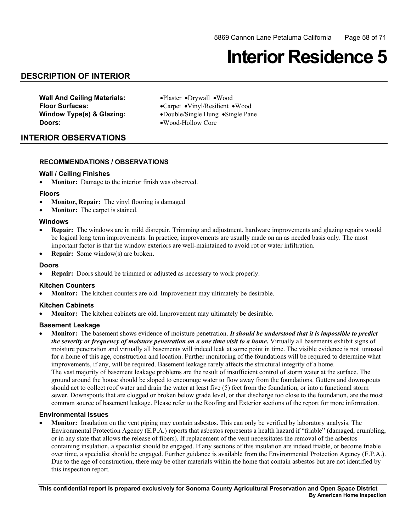## **Interior Residence 5**

## **DESCRIPTION OF INTERIOR**

**Wall And Ceiling Materials:** •Plaster •Drywall •Wood **Doors:** •Wood-Hollow Core

 **Floor Surfaces:** •Carpet •Vinyl/Resilient •Wood **Window Type(s) & Glazing:** •Double/Single Hung •Single Pane

### **INTERIOR OBSERVATIONS**

#### **RECOMMENDATIONS / OBSERVATIONS**

#### **Wall / Ceiling Finishes**

• **Monitor:** Damage to the interior finish was observed.

#### **Floors**

- **Monitor, Repair:** The vinyl flooring is damaged
- **Monitor:** The carpet is stained.

#### **Windows**

- **Repair:** The windows are in mild disrepair. Trimming and adjustment, hardware improvements and glazing repairs would be logical long term improvements. In practice, improvements are usually made on an as needed basis only. The most important factor is that the window exteriors are well-maintained to avoid rot or water infiltration.
- • **Repair:** Some window(s) are broken.

#### **Doors**

• **Repair:** Doors should be trimmed or adjusted as necessary to work properly.

#### **Kitchen Counters**

**Monitor:** The kitchen counters are old. Improvement may ultimately be desirable.

#### **Kitchen Cabinets**

**Monitor:** The kitchen cabinets are old. Improvement may ultimately be desirable.

#### **Basement Leakage**

**Monitor:** The basement shows evidence of moisture penetration. *It should be understood that it is impossible to predict the severity or frequency of moisture penetration on a one time visit to a home.* Virtually all basements exhibit signs of moisture penetration and virtually all basements will indeed leak at some point in time. The visible evidence is not unusual for a home of this age, construction and location. Further monitoring of the foundations will be required to determine what improvements, if any, will be required. Basement leakage rarely affects the structural integrity of a home. The vast majority of basement leakage problems are the result of insufficient control of storm water at the surface. The ground around the house should be sloped to encourage water to flow away from the foundations. Gutters and downspouts should act to collect roof water and drain the water at least five (5) feet from the foundation, or into a functional storm sewer. Downspouts that are clogged or broken below grade level, or that discharge too close to the foundation, are the most common source of basement leakage. Please refer to the Roofing and Exterior sections of the report for more information.

#### **Environmental Issues**

 containing insulation, a specialist should be engaged. If any sections of this insulation are indeed friable, or become friable Monitor: Insulation on the vent piping may contain asbestos. This can only be verified by laboratory analysis. The Environmental Protection Agency (E.P.A.) reports that asbestos represents a health hazard if "friable" (damaged, crumbling, or in any state that allows the release of fibers). If replacement of the vent necessitates the removal of the asbestos over time, a specialist should be engaged. Further guidance is available from the Environmental Protection Agency (E.P.A.). Due to the age of construction, there may be other materials within the home that contain asbestos but are not identified by this inspection report.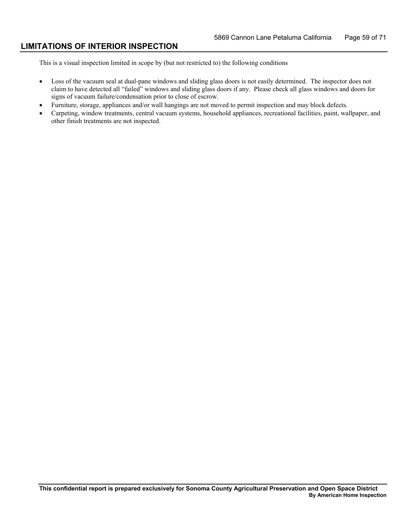### **LIMITATIONS OF INTERIOR INSPECTION**

- Loss of the vacuum seal at dual-pane windows and sliding glass doors is not easily determined. The inspector does not claim to have detected all "failed" windows and sliding glass doors if any. Please check all glass windows and doors for signs of vacuum failure/condensation prior to close of escrow.
- • Furniture, storage, appliances and/or wall hangings are not moved to permit inspection and may block defects.
- Carpeting, window treatments, central vacuum systems, household appliances, recreational facilities, paint, wallpaper, and other finish treatments are not inspected.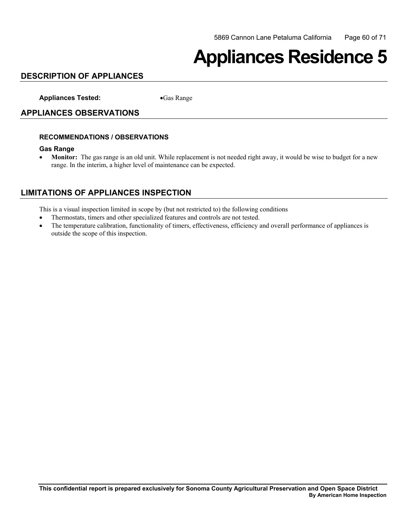## **Appliances Residence 5**

## **DESCRIPTION OF APPLIANCES**

**Appliances Tested:** •Gas Range

### **APPLIANCES OBSERVATIONS**

#### **RECOMMENDATIONS / OBSERVATIONS**

#### **Gas Range**

• **Monitor:** The gas range is an old unit. While replacement is not needed right away, it would be wise to budget for a new range. In the interim, a higher level of maintenance can be expected.

## **LIMITATIONS OF APPLIANCES INSPECTION**

- • Thermostats, timers and other specialized features and controls are not tested.
- The temperature calibration, functionality of timers, effectiveness, efficiency and overall performance of appliances is outside the scope of this inspection.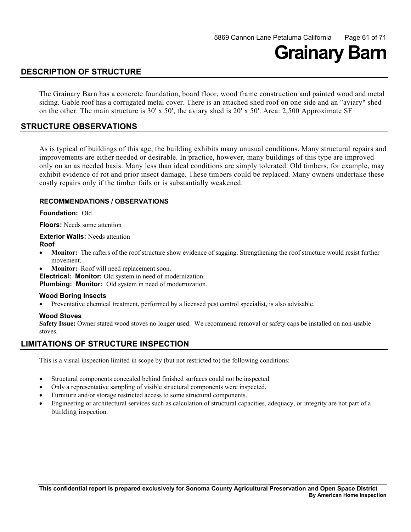## **Grainary Barn**

## **DESCRIPTION OF STRUCTURE**

 siding. Gable roof has a corrugated metal cover. There is an attached shed roof on one side and an "aviary" shed The Grainary Barn has a concrete foundation, board floor, wood frame construction and painted wood and metal on the other. The main structure is 30' x 50', the aviary shed is 20' x 50'. Area: 2,500 Approximate SF

## **STRUCTURE OBSERVATIONS**

As is typical of buildings of this age, the building exhibits many unusual conditions. Many structural repairs and improvements are either needed or desirable. In practice, however, many buildings of this type are improved only on an as needed basis. Many less than ideal conditions are simply tolerated. Old timbers, for example, may exhibit evidence of rot and prior insect damage. These timbers could be replaced. Many owners undertake these costly repairs only if the timber fails or is substantially weakened.

#### **RECOMMENDATIONS / OBSERVATIONS**

**Foundation:** Old

**Floors:** Needs some attention

**Exterior Walls: Needs attention Roof**

- Monitor: The rafters of the roof structure show evidence of sagging. Strengthening the roof structure would resist further movement.
- **Monitor:** Roof will need replacement soon.

**Electrical: Monitor:** Old system in need of modernization.

**Plumbing: Monitor:** Old system in need of modernization.

#### **Wood Boring Insects**

Preventative chemical treatment, performed by a licensed pest control specialist, is also advisable.

#### **Wood Stoves**

**Safety Issue:** Owner stated wood stoves no longer used. We recommend removal or safety caps be installed on non-usable stoves.

### **LIMITATIONS OF STRUCTURE INSPECTION**

- Structural components concealed behind finished surfaces could not be inspected.
- Only a representative sampling of visible structural components were inspected.
- Furniture and/or storage restricted access to some structural components.
- Engineering or architectural services such as calculation of structural capacities, adequacy, or integrity are not part of a building inspection.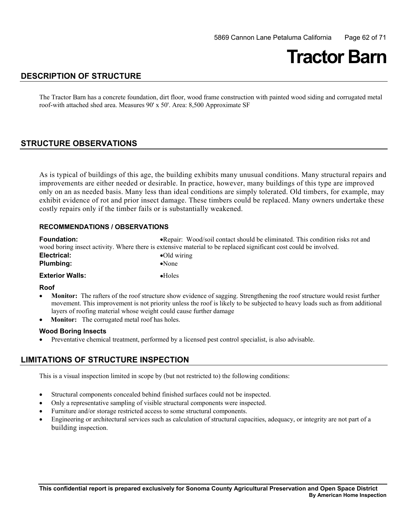## **Tractor Barn**

## **DESCRIPTION OF STRUCTURE**

The Tractor Barn has a concrete foundation, dirt floor, wood frame construction with painted wood siding and corrugated metal roof-with attached shed area. Measures 90' x 50'. Area: 8,500 Approximate SF

## **STRUCTURE OBSERVATIONS**

As is typical of buildings of this age, the building exhibits many unusual conditions. Many structural repairs and improvements are either needed or desirable. In practice, however, many buildings of this type are improved only on an as needed basis. Many less than ideal conditions are simply tolerated. Old timbers, for example, may exhibit evidence of rot and prior insect damage. These timbers could be replaced. Many owners undertake these costly repairs only if the timber fails or is substantially weakened.

#### **RECOMMENDATIONS / OBSERVATIONS**

| <b>Foundation:</b>                                                                                                | • Repair: Wood/soil contact should be eliminated. This condition risks rot and |
|-------------------------------------------------------------------------------------------------------------------|--------------------------------------------------------------------------------|
| wood boring insect activity. Where there is extensive material to be replaced significant cost could be involved. |                                                                                |
| Electrical:                                                                                                       | $\bullet$ Old wiring                                                           |
| <b>Plumbing:</b>                                                                                                  | $\bullet$ None                                                                 |
| <b>Exterior Walls:</b>                                                                                            | $\bullet$ Holes                                                                |

#### **Roof**

- **Monitor:** The rafters of the roof structure show evidence of sagging. Strengthening the roof structure would resist further movement. This improvement is not priority unless the roof is likely to be subjected to heavy loads such as from additional layers of roofing material whose weight could cause further damage
- **Monitor:** The corrugated metal roof has holes.

#### **Wood Boring Insects**

Preventative chemical treatment, performed by a licensed pest control specialist, is also advisable.

### **LIMITATIONS OF STRUCTURE INSPECTION**

- Structural components concealed behind finished surfaces could not be inspected.
- Only a representative sampling of visible structural components were inspected.
- Furniture and/or storage restricted access to some structural components.
- Engineering or architectural services such as calculation of structural capacities, adequacy, or integrity are not part of a building inspection.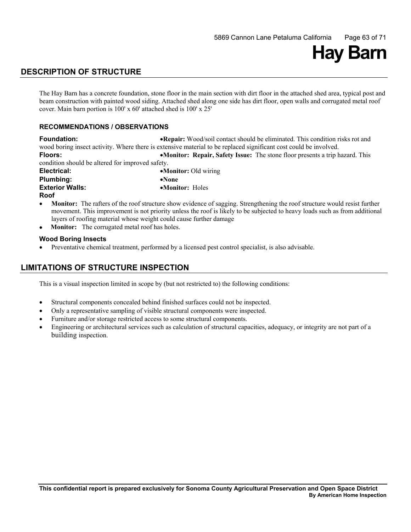# **Hay Barn**

## **DESCRIPTION OF STRUCTURE**

 The Hay Barn has a concrete foundation, stone floor in the main section with dirt floor in the attached shed area, typical post and beam construction with painted wood siding. Attached shed along one side has dirt floor, open walls and corrugated metal roof cover. Main barn portion is 100' x 60' attached shed is 100' x 25'

#### **RECOMMENDATIONS / OBSERVATIONS**

Floors: **Foundation:** •**Repair:** Wood/soil contact should be eliminated. This condition risks rot and wood boring insect activity. Where there is extensive material to be replaced significant cost could be involved. **Floors:** •**Monitor: Repair, Safety Issue:** The stone floor presents a trip hazard. This condition should be altered for improved safety.

 **Exterior Walls:** •**Monitor:** Holes **Electrical:** •**Monitor:** Old wiring **Plumbing:** •**None Roof** 

- **Monitor:** The rafters of the roof structure show evidence of sagging. Strengthening the roof structure would resist further movement. This improvement is not priority unless the roof is likely to be subjected to heavy loads such as from additional layers of roofing material whose weight could cause further damage
- **Monitor:** The corrugated metal roof has holes.

#### **Wood Boring Insects**

Preventative chemical treatment, performed by a licensed pest control specialist, is also advisable.

## **LIMITATIONS OF STRUCTURE INSPECTION**

- • Structural components concealed behind finished surfaces could not be inspected.
- Only a representative sampling of visible structural components were inspected.
- Furniture and/or storage restricted access to some structural components.
- Engineering or architectural services such as calculation of structural capacities, adequacy, or integrity are not part of a building inspection.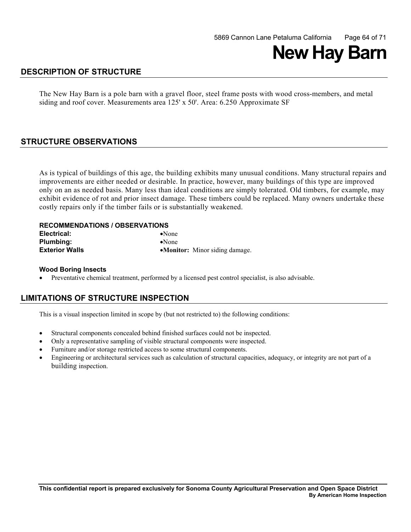

## **DESCRIPTION OF STRUCTURE**

 The New Hay Barn is a pole barn with a gravel floor, steel frame posts with wood cross-members, and metal siding and roof cover. Measurements area 125' x 50'. Area: 6.250 Approximate SF

## **STRUCTURE OBSERVATIONS**

As is typical of buildings of this age, the building exhibits many unusual conditions. Many structural repairs and improvements are either needed or desirable. In practice, however, many buildings of this type are improved only on an as needed basis. Many less than ideal conditions are simply tolerated. Old timbers, for example, may exhibit evidence of rot and prior insect damage. These timbers could be replaced. Many owners undertake these costly repairs only if the timber fails or is substantially weakened.

#### **RECOMMENDATIONS / OBSERVATIONS**

| Electrical:           | $\bullet$ None                 |
|-----------------------|--------------------------------|
| <b>Plumbing:</b>      | $\bullet$ None                 |
| <b>Exterior Walls</b> | •Monitor: Minor siding damage. |

#### **Wood Boring Insects**

• Preventative chemical treatment, performed by a licensed pest control specialist, is also advisable.

### **LIMITATIONS OF STRUCTURE INSPECTION**

- Structural components concealed behind finished surfaces could not be inspected.
- Only a representative sampling of visible structural components were inspected.
- Furniture and/or storage restricted access to some structural components.
- Engineering or architectural services such as calculation of structural capacities, adequacy, or integrity are not part of a building inspection.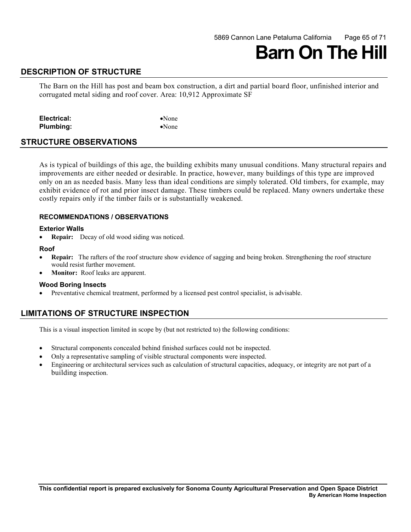## **DESCRIPTION OF STRUCTURE**

 The Barn on the Hill has post and beam box construction, a dirt and partial board floor, unfinished interior and corrugated metal siding and roof cover. Area: 10,912 Approximate SF

| Electrical:      | $\bullet$ None |
|------------------|----------------|
| <b>Plumbing:</b> | $\bullet$ None |

#### **STRUCTURE OBSERVATIONS**

As is typical of buildings of this age, the building exhibits many unusual conditions. Many structural repairs and improvements are either needed or desirable. In practice, however, many buildings of this type are improved only on an as needed basis. Many less than ideal conditions are simply tolerated. Old timbers, for example, may exhibit evidence of rot and prior insect damage. These timbers could be replaced. Many owners undertake these costly repairs only if the timber fails or is substantially weakened.

#### **RECOMMENDATIONS / OBSERVATIONS**

#### **Exterior Walls**

• **Repair:** Decay of old wood siding was noticed.

#### **Roof**

- **Repair:** The rafters of the roof structure show evidence of sagging and being broken. Strengthening the roof structure would resist further movement.
- **Monitor:** Roof leaks are apparent.

#### **Wood Boring Insects**

• Preventative chemical treatment, performed by a licensed pest control specialist, is advisable.

## **LIMITATIONS OF STRUCTURE INSPECTION**

- • Structural components concealed behind finished surfaces could not be inspected.
- Only a representative sampling of visible structural components were inspected.
- Engineering or architectural services such as calculation of structural capacities, adequacy, or integrity are not part of a building inspection.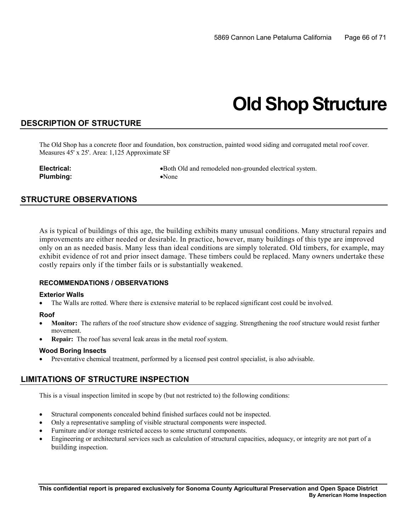## **Old Shop Structure**

## **DESCRIPTION OF STRUCTURE**

The Old Shop has a concrete floor and foundation, box construction, painted wood siding and corrugated metal roof cover. Measures 45' x 25'. Area: 1,125 Approximate SF

**Plumbing:** •None

**Electrical:** • **•**Both Old and remodeled non-grounded electrical system.

## **STRUCTURE OBSERVATIONS**

As is typical of buildings of this age, the building exhibits many unusual conditions. Many structural repairs and improvements are either needed or desirable. In practice, however, many buildings of this type are improved only on an as needed basis. Many less than ideal conditions are simply tolerated. Old timbers, for example, may exhibit evidence of rot and prior insect damage. These timbers could be replaced. Many owners undertake these costly repairs only if the timber fails or is substantially weakened.

#### **RECOMMENDATIONS / OBSERVATIONS**

#### **Exterior Walls**

• The Walls are rotted. Where there is extensive material to be replaced significant cost could be involved.

#### **Roof**

- **Monitor:** The rafters of the roof structure show evidence of sagging. Strengthening the roof structure would resist further movement.
- **Repair:** The roof has several leak areas in the metal roof system.

#### **Wood Boring Insects**

Preventative chemical treatment, performed by a licensed pest control specialist, is also advisable.

## **LIMITATIONS OF STRUCTURE INSPECTION**

- Structural components concealed behind finished surfaces could not be inspected.
- Only a representative sampling of visible structural components were inspected.
- Furniture and/or storage restricted access to some structural components.
- Engineering or architectural services such as calculation of structural capacities, adequacy, or integrity are not part of a building inspection.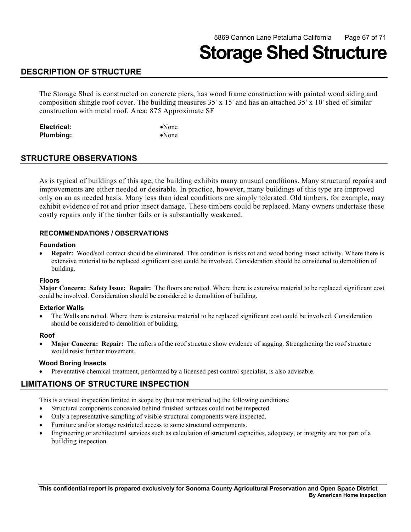## **Storage Shed Structure**

## **DESCRIPTION OF STRUCTURE**

The Storage Shed is constructed on concrete piers, has wood frame construction with painted wood siding and composition shingle roof cover. The building measures 35' x 15' and has an attached 35' x 10' shed of similar construction with metal roof. Area: 875 Approximate SF

| Electrical: | $\bullet$ None |
|-------------|----------------|
| Plumbing:   | $\bullet$ None |

### **STRUCTURE OBSERVATIONS**

As is typical of buildings of this age, the building exhibits many unusual conditions. Many structural repairs and improvements are either needed or desirable. In practice, however, many buildings of this type are improved only on an as needed basis. Many less than ideal conditions are simply tolerated. Old timbers, for example, may exhibit evidence of rot and prior insect damage. These timbers could be replaced. Many owners undertake these costly repairs only if the timber fails or is substantially weakened.

#### **RECOMMENDATIONS / OBSERVATIONS**

#### **Foundation**

 • **Repair:** Wood/soil contact should be eliminated. This condition is risks rot and wood boring insect activity. Where there is extensive material to be replaced significant cost could be involved. Consideration should be considered to demolition of building.

#### **Floors**

 **Major Concern: Safety Issue: Repair:** The floors are rotted. Where there is extensive material to be replaced significant cost could be involved. Consideration should be considered to demolition of building.

#### **Exterior Walls**

• The Walls are rotted. Where there is extensive material to be replaced significant cost could be involved. Consideration should be considered to demolition of building.

#### **Roof**

**Major Concern: Repair:** The rafters of the roof structure show evidence of sagging. Strengthening the roof structure would resist further movement.

#### **Wood Boring Insects**

Preventative chemical treatment, performed by a licensed pest control specialist, is also advisable.

## **LIMITATIONS OF STRUCTURE INSPECTION**

- Structural components concealed behind finished surfaces could not be inspected.
- Only a representative sampling of visible structural components were inspected.
- • Furniture and/or storage restricted access to some structural components.
- Engineering or architectural services such as calculation of structural capacities, adequacy, or integrity are not part of a building inspection.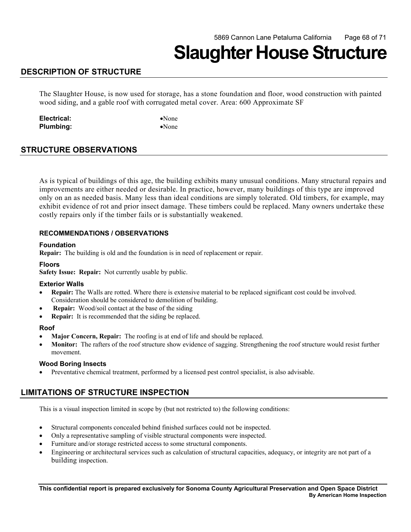## **Slaughter House Structure**

## **DESCRIPTION OF STRUCTURE**

 The Slaughter House, is now used for storage, has a stone foundation and floor, wood construction with painted wood siding, and a gable roof with corrugated metal cover. Area: 600 Approximate SF

**Electrical:** •None **Plumbing:** •None

## **STRUCTURE OBSERVATIONS**

As is typical of buildings of this age, the building exhibits many unusual conditions. Many structural repairs and improvements are either needed or desirable. In practice, however, many buildings of this type are improved only on an as needed basis. Many less than ideal conditions are simply tolerated. Old timbers, for example, may exhibit evidence of rot and prior insect damage. These timbers could be replaced. Many owners undertake these costly repairs only if the timber fails or is substantially weakened.

#### **RECOMMENDATIONS / OBSERVATIONS**

#### **Foundation**

**Repair:** The building is old and the foundation is in need of replacement or repair.

### **Floors**

**Safety Issue: Repair:** Not currently usable by public.

#### **Exterior Walls**

- **Repair:** The Walls are rotted. Where there is extensive material to be replaced significant cost could be involved. Consideration should be considered to demolition of building.
- **Repair:** Wood/soil contact at the base of the siding
- **Repair:** It is recommended that the siding be replaced.

#### **Roof**

- **Major Concern, Repair:** The roofing is at end of life and should be replaced.
- **Monitor:** The rafters of the roof structure show evidence of sagging. Strengthening the roof structure would resist further movement.

#### **Wood Boring Insects**

Preventative chemical treatment, performed by a licensed pest control specialist, is also advisable.

## **LIMITATIONS OF STRUCTURE INSPECTION**

- Structural components concealed behind finished surfaces could not be inspected.
- Only a representative sampling of visible structural components were inspected.
- Furniture and/or storage restricted access to some structural components.
- Engineering or architectural services such as calculation of structural capacities, adequacy, or integrity are not part of a building inspection.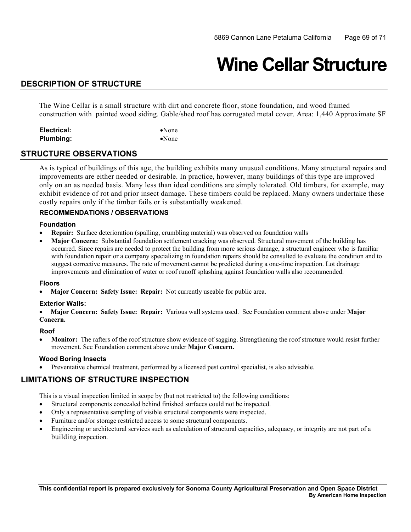## **Wine Cellar Structure**

## **DESCRIPTION OF STRUCTURE**

The Wine Cellar is a small structure with dirt and concrete floor, stone foundation, and wood framed construction with painted wood siding. Gable/shed roof has corrugated metal cover. Area: 1,440 Approximate SF

| Electrical: | $\bullet$ None |
|-------------|----------------|
| Plumbing:   | $\bullet$ None |

### **STRUCTURE OBSERVATIONS**

As is typical of buildings of this age, the building exhibits many unusual conditions. Many structural repairs and improvements are either needed or desirable. In practice, however, many buildings of this type are improved only on an as needed basis. Many less than ideal conditions are simply tolerated. Old timbers, for example, may exhibit evidence of rot and prior insect damage. These timbers could be replaced. Many owners undertake these costly repairs only if the timber fails or is substantially weakened.

### **RECOMMENDATIONS / OBSERVATIONS**

#### **Foundation**

- • **Repair:** Surface deterioration (spalling, crumbling material) was observed on foundation walls
- **Major Concern:** Substantial foundation settlement cracking was observed. Structural movement of the building has occurred. Since repairs are needed to protect the building from more serious damage, a structural engineer who is familiar with foundation repair or a company specializing in foundation repairs should be consulted to evaluate the condition and to suggest corrective measures. The rate of movement cannot be predicted during a one-time inspection. Lot drainage improvements and elimination of water or roof runoff splashing against foundation walls also recommended.

#### **Floors**

• **Major Concern: Safety Issue: Repair:** Not currently useable for public area.

#### **Exterior Walls:**

• **Major Concern: Safety Issue: Repair:** Various wall systems used. See Foundation comment above under **Major Concern.** 

#### **Roof**

**Monitor:** The rafters of the roof structure show evidence of sagging. Strengthening the roof structure would resist further movement. See Foundation comment above under **Major Concern.** 

#### **Wood Boring Insects**

Preventative chemical treatment, performed by a licensed pest control specialist, is also advisable.

## **LIMITATIONS OF STRUCTURE INSPECTION**

- Structural components concealed behind finished surfaces could not be inspected.
- Only a representative sampling of visible structural components were inspected.
- Furniture and/or storage restricted access to some structural components.
- Engineering or architectural services such as calculation of structural capacities, adequacy, or integrity are not part of a building inspection.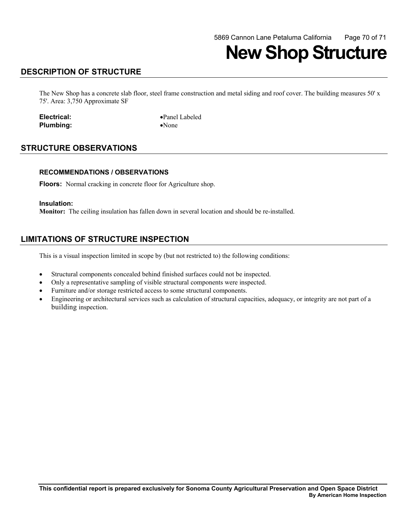## **New Shop Structure**

## **DESCRIPTION OF STRUCTURE**

The New Shop has a concrete slab floor, steel frame construction and metal siding and roof cover. The building measures 50' x 75'. Area: 3,750 Approximate SF

**Plumbing:** •None

**Electrical:** •Panel Labeled

## **STRUCTURE OBSERVATIONS**

#### **RECOMMENDATIONS / OBSERVATIONS**

**Floors:** Normal cracking in concrete floor for Agriculture shop.

#### **Insulation:**

**Monitor:** The ceiling insulation has fallen down in several location and should be re-installed.

## **LIMITATIONS OF STRUCTURE INSPECTION**

- • Structural components concealed behind finished surfaces could not be inspected.
- Only a representative sampling of visible structural components were inspected.
- Furniture and/or storage restricted access to some structural components.
- Engineering or architectural services such as calculation of structural capacities, adequacy, or integrity are not part of a building inspection.